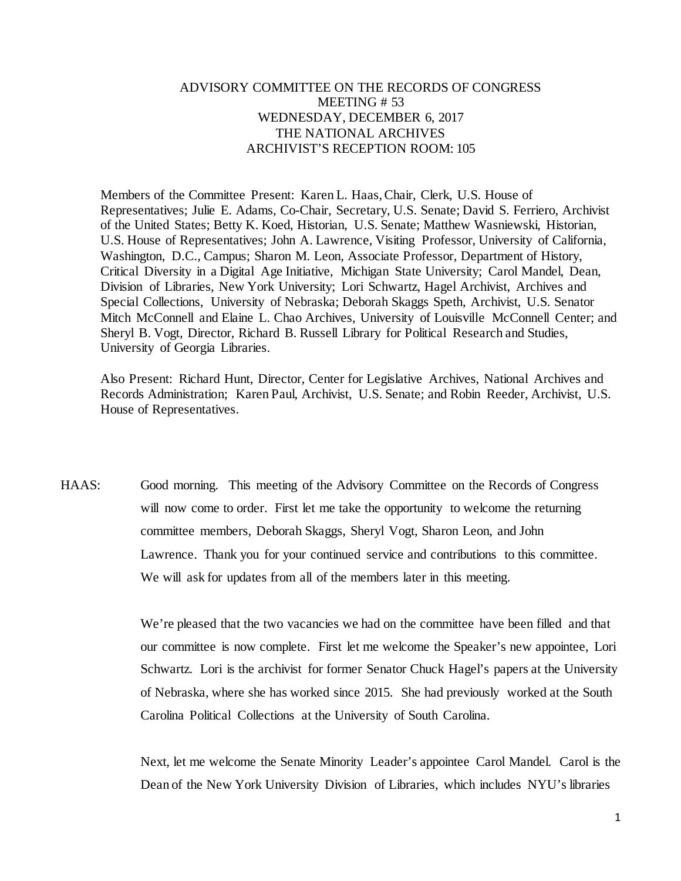## ADVISORY COMMITTEE ON THE RECORDS OF CONGRESS MEETING # 53 WEDNESDAY, DECEMBER 6, 2017 THE NATIONAL ARCHIVES ARCHIVIST'S RECEPTION ROOM: 105

Members of the Committee Present: Karen L. Haas, Chair, Clerk, U.S. House of Representatives; Julie E. Adams, Co-Chair, Secretary, U.S. Senate; David S. Ferriero, Archivist of the United States; Betty K. Koed, Historian, U.S. Senate; Matthew Wasniewski, Historian, U.S. House of Representatives; John A. Lawrence, Visiting Professor, University of California, Washington, D.C., Campus; Sharon M. Leon, Associate Professor, Department of History, Critical Diversity in a Digital Age Initiative, Michigan State University; Carol Mandel, Dean, Division of Libraries, New York University; Lori Schwartz, Hagel Archivist, Archives and Special Collections, University of Nebraska; Deborah Skaggs Speth, Archivist, U.S. Senator Mitch McConnell and Elaine L. Chao Archives, University of Louisville McConnell Center; and Sheryl B. Vogt, Director, Richard B. Russell Library for Political Research and Studies, University of Georgia Libraries.

Also Present: Richard Hunt, Director, Center for Legislative Archives, National Archives and Records Administration; Karen Paul, Archivist, U.S. Senate; and Robin Reeder, Archivist, U.S. House of Representatives.

HAAS: Good morning. This meeting of the Advisory Committee on the Records of Congress will now come to order. First let me take the opportunity to welcome the returning committee members, Deborah Skaggs, Sheryl Vogt, Sharon Leon, and John Lawrence. Thank you for your continued service and contributions to this committee. We will ask for updates from all of the members later in this meeting.

> We're pleased that the two vacancies we had on the committee have been filled and that our committee is now complete. First let me welcome the Speaker's new appointee, Lori Schwartz. Lori is the archivist for former Senator Chuck Hagel's papers at the University of Nebraska, where she has worked since 2015. She had previously worked at the South Carolina Political Collections at the University of South Carolina.

> Next, let me welcome the Senate Minority Leader's appointee Carol Mandel. Carol is the Dean of the New York University Division of Libraries, which includes NYU's libraries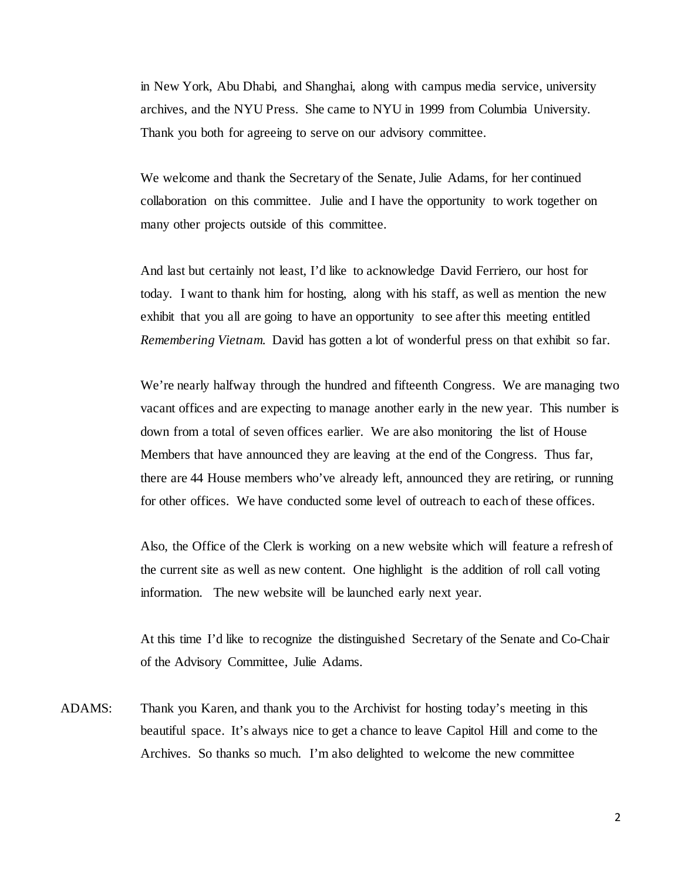in New York, Abu Dhabi, and Shanghai, along with campus media service, university archives, and the NYU Press. She came to NYU in 1999 from Columbia University. Thank you both for agreeing to serve on our advisory committee.

We welcome and thank the Secretary of the Senate, Julie Adams, for her continued collaboration on this committee. Julie and I have the opportunity to work together on many other projects outside of this committee.

And last but certainly not least, I'd like to acknowledge David Ferriero, our host for today. I want to thank him for hosting, along with his staff, as well as mention the new exhibit that you all are going to have an opportunity to see after this meeting entitled *Remembering Vietnam*. David has gotten a lot of wonderful press on that exhibit so far.

We're nearly halfway through the hundred and fifteenth Congress. We are managing two vacant offices and are expecting to manage another early in the new year. This number is down from a total of seven offices earlier. We are also monitoring the list of House Members that have announced they are leaving at the end of the Congress. Thus far, there are 44 House members who've already left, announced they are retiring, or running for other offices. We have conducted some level of outreach to each of these offices.

Also, the Office of the Clerk is working on a new website which will feature a refresh of the current site as well as new content. One highlight is the addition of roll call voting information. The new website will be launched early next year.

At this time I'd like to recognize the distinguished Secretary of the Senate and Co-Chair of the Advisory Committee, Julie Adams.

ADAMS: Thank you Karen, and thank you to the Archivist for hosting today's meeting in this beautiful space. It's always nice to get a chance to leave Capitol Hill and come to the Archives. So thanks so much. I'm also delighted to welcome the new committee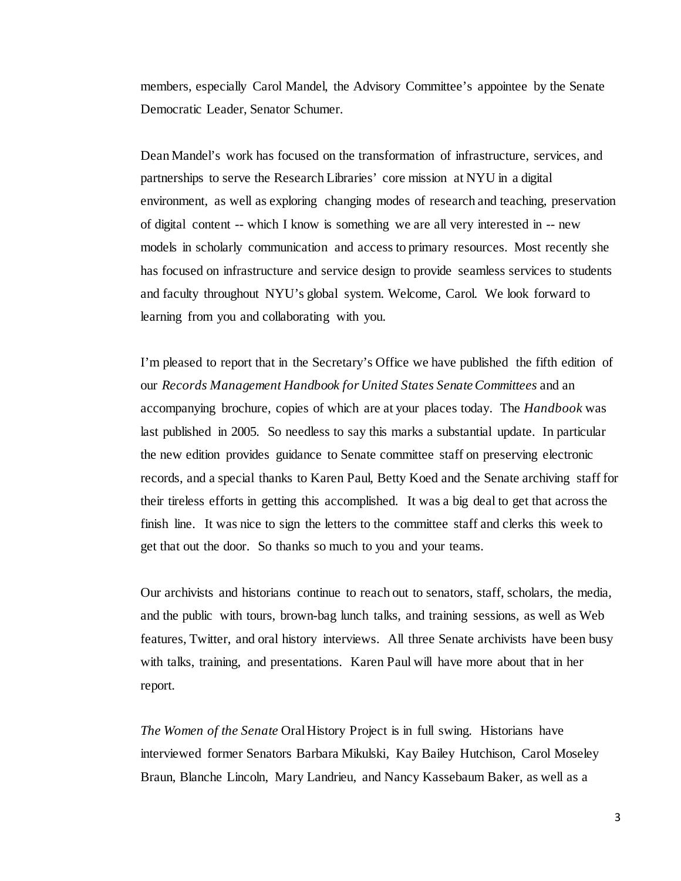members, especially Carol Mandel, the Advisory Committee's appointee by the Senate Democratic Leader, Senator Schumer.

Dean Mandel's work has focused on the transformation of infrastructure, services, and partnerships to serve the Research Libraries' core mission at NYU in a digital environment, as well as exploring changing modes of research and teaching, preservation of digital content -- which I know is something we are all very interested in -- new models in scholarly communication and access to primary resources. Most recently she has focused on infrastructure and service design to provide seamless services to students and faculty throughout NYU's global system. Welcome, Carol. We look forward to learning from you and collaborating with you.

I'm pleased to report that in the Secretary's Office we have published the fifth edition of our *Records Management Handbook for United States Senate Committees* and an accompanying brochure, copies of which are at your places today. The *Handbook* was last published in 2005. So needless to say this marks a substantial update. In particular the new edition provides guidance to Senate committee staff on preserving electronic records, and a special thanks to Karen Paul, Betty Koed and the Senate archiving staff for their tireless efforts in getting this accomplished. It was a big deal to get that across the finish line. It was nice to sign the letters to the committee staff and clerks this week to get that out the door. So thanks so much to you and your teams.

Our archivists and historians continue to reach out to senators, staff, scholars, the media, and the public with tours, brown-bag lunch talks, and training sessions, as well as Web features, Twitter, and oral history interviews. All three Senate archivists have been busy with talks, training, and presentations. Karen Paul will have more about that in her report.

*The Women of the Senate* Oral History Project is in full swing. Historians have interviewed former Senators Barbara Mikulski, Kay Bailey Hutchison, Carol Moseley Braun, Blanche Lincoln, Mary Landrieu, and Nancy Kassebaum Baker, as well as a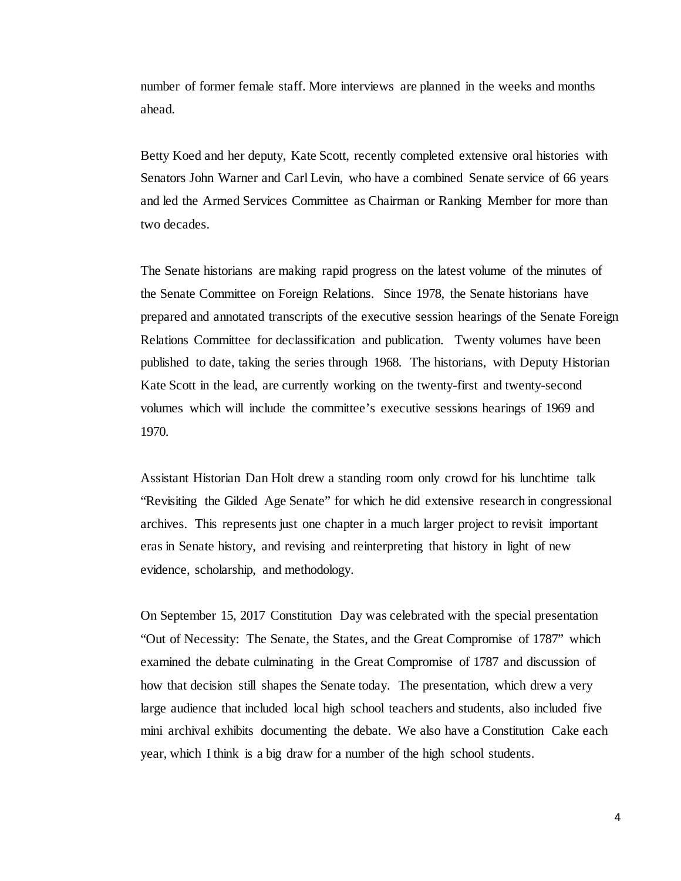number of former female staff. More interviews are planned in the weeks and months ahead.

Betty Koed and her deputy, Kate Scott, recently completed extensive oral histories with Senators John Warner and Carl Levin, who have a combined Senate service of 66 years and led the Armed Services Committee as Chairman or Ranking Member for more than two decades.

The Senate historians are making rapid progress on the latest volume of the minutes of the Senate Committee on Foreign Relations. Since 1978, the Senate historians have prepared and annotated transcripts of the executive session hearings of the Senate Foreign Relations Committee for declassification and publication. Twenty volumes have been published to date, taking the series through 1968. The historians, with Deputy Historian Kate Scott in the lead, are currently working on the twenty-first and twenty-second volumes which will include the committee's executive sessions hearings of 1969 and 1970.

Assistant Historian Dan Holt drew a standing room only crowd for his lunchtime talk "Revisiting the Gilded Age Senate" for which he did extensive research in congressional archives. This represents just one chapter in a much larger project to revisit important eras in Senate history, and revising and reinterpreting that history in light of new evidence, scholarship, and methodology.

On September 15, 2017 Constitution Day was celebrated with the special presentation "Out of Necessity: The Senate, the States, and the Great Compromise of 1787" which examined the debate culminating in the Great Compromise of 1787 and discussion of how that decision still shapes the Senate today. The presentation, which drew a very large audience that included local high school teachers and students, also included five mini archival exhibits documenting the debate. We also have a Constitution Cake each year, which I think is a big draw for a number of the high school students.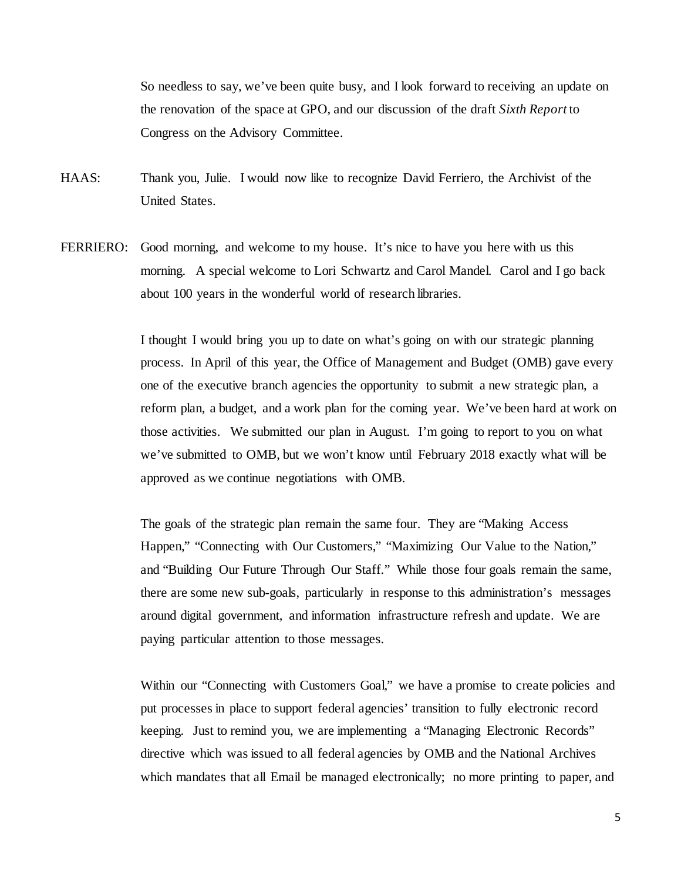So needless to say, we've been quite busy, and I look forward to receiving an update on the renovation of the space at GPO, and our discussion of the draft *Sixth Report* to Congress on the Advisory Committee.

- HAAS: Thank you, Julie. I would now like to recognize David Ferriero, the Archivist of the United States.
- FERRIERO: Good morning, and welcome to my house. It's nice to have you here with us this morning. A special welcome to Lori Schwartz and Carol Mandel. Carol and I go back about 100 years in the wonderful world of research libraries.

I thought I would bring you up to date on what's going on with our strategic planning process. In April of this year, the Office of Management and Budget (OMB) gave every one of the executive branch agencies the opportunity to submit a new strategic plan, a reform plan, a budget, and a work plan for the coming year. We've been hard at work on those activities. We submitted our plan in August. I'm going to report to you on what we've submitted to OMB, but we won't know until February 2018 exactly what will be approved as we continue negotiations with OMB.

The goals of the strategic plan remain the same four. They are "Making Access Happen," "Connecting with Our Customers," "Maximizing Our Value to the Nation," and "Building Our Future Through Our Staff." While those four goals remain the same, there are some new sub-goals, particularly in response to this administration's messages around digital government, and information infrastructure refresh and update. We are paying particular attention to those messages.

Within our "Connecting with Customers Goal," we have a promise to create policies and put processes in place to support federal agencies' transition to fully electronic record keeping. Just to remind you, we are implementing a "Managing Electronic Records" directive which was issued to all federal agencies by OMB and the National Archives which mandates that all Email be managed electronically; no more printing to paper, and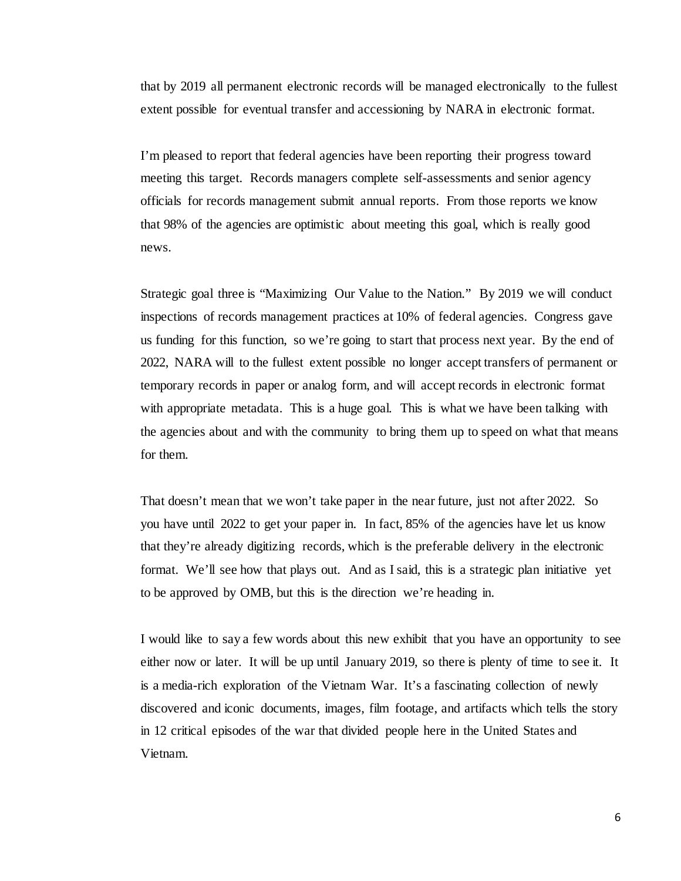that by 2019 all permanent electronic records will be managed electronically to the fullest extent possible for eventual transfer and accessioning by NARA in electronic format.

I'm pleased to report that federal agencies have been reporting their progress toward meeting this target. Records managers complete self-assessments and senior agency officials for records management submit annual reports. From those reports we know that 98% of the agencies are optimistic about meeting this goal, which is really good news.

Strategic goal three is "Maximizing Our Value to the Nation." By 2019 we will conduct inspections of records management practices at 10% of federal agencies. Congress gave us funding for this function, so we're going to start that process next year. By the end of 2022, NARA will to the fullest extent possible no longer accept transfers of permanent or temporary records in paper or analog form, and will accept records in electronic format with appropriate metadata. This is a huge goal. This is what we have been talking with the agencies about and with the community to bring them up to speed on what that means for them.

That doesn't mean that we won't take paper in the near future, just not after 2022. So you have until 2022 to get your paper in. In fact, 85% of the agencies have let us know that they're already digitizing records, which is the preferable delivery in the electronic format. We'll see how that plays out. And as I said, this is a strategic plan initiative yet to be approved by OMB, but this is the direction we're heading in.

I would like to say a few words about this new exhibit that you have an opportunity to see either now or later. It will be up until January 2019, so there is plenty of time to see it. It is a media-rich exploration of the Vietnam War. It's a fascinating collection of newly discovered and iconic documents, images, film footage, and artifacts which tells the story in 12 critical episodes of the war that divided people here in the United States and Vietnam.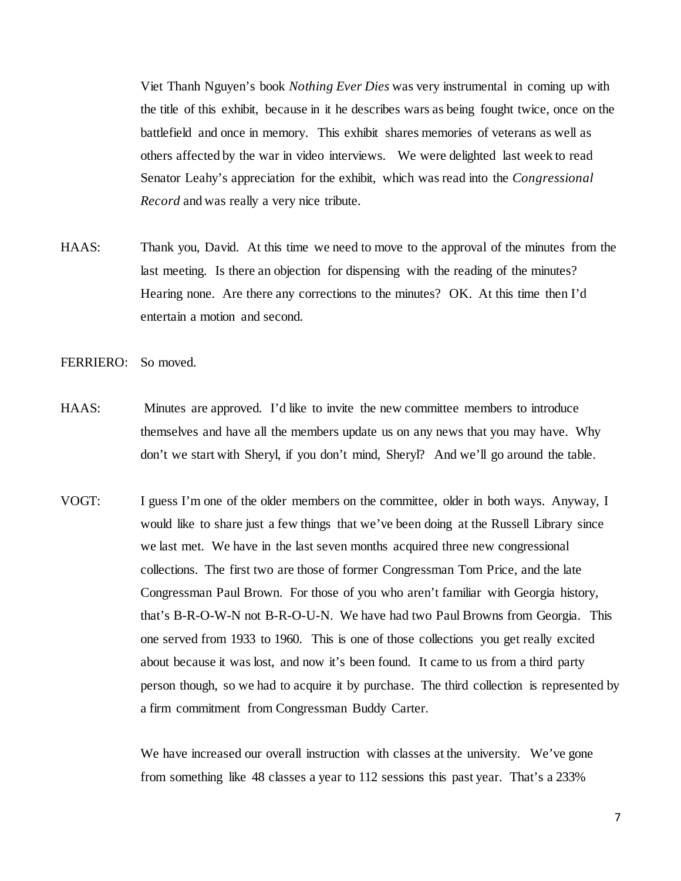Viet Thanh Nguyen's book *Nothing Ever Dies* was very instrumental in coming up with the title of this exhibit, because in it he describes wars as being fought twice, once on the battlefield and once in memory. This exhibit shares memories of veterans as well as others affected by the war in video interviews. We were delighted last week to read Senator Leahy's appreciation for the exhibit, which was read into the *Congressional Record* and was really a very nice tribute.

- HAAS: Thank you, David. At this time we need to move to the approval of the minutes from the last meeting. Is there an objection for dispensing with the reading of the minutes? Hearing none. Are there any corrections to the minutes? OK. At this time then I'd entertain a motion and second.
- FERRIERO: So moved.
- HAAS: Minutes are approved. I'd like to invite the new committee members to introduce themselves and have all the members update us on any news that you may have. Why don't we start with Sheryl, if you don't mind, Sheryl? And we'll go around the table.
- VOGT: I guess I'm one of the older members on the committee, older in both ways. Anyway, I would like to share just a few things that we've been doing at the Russell Library since we last met. We have in the last seven months acquired three new congressional collections. The first two are those of former Congressman Tom Price, and the late Congressman Paul Brown. For those of you who aren't familiar with Georgia history, that's B-R-O-W-N not B-R-O-U-N. We have had two Paul Browns from Georgia. This one served from 1933 to 1960. This is one of those collections you get really excited about because it was lost, and now it's been found. It came to us from a third party person though, so we had to acquire it by purchase. The third collection is represented by a firm commitment from Congressman Buddy Carter.

We have increased our overall instruction with classes at the university. We've gone from something like 48 classes a year to 112 sessions this past year. That's a 233%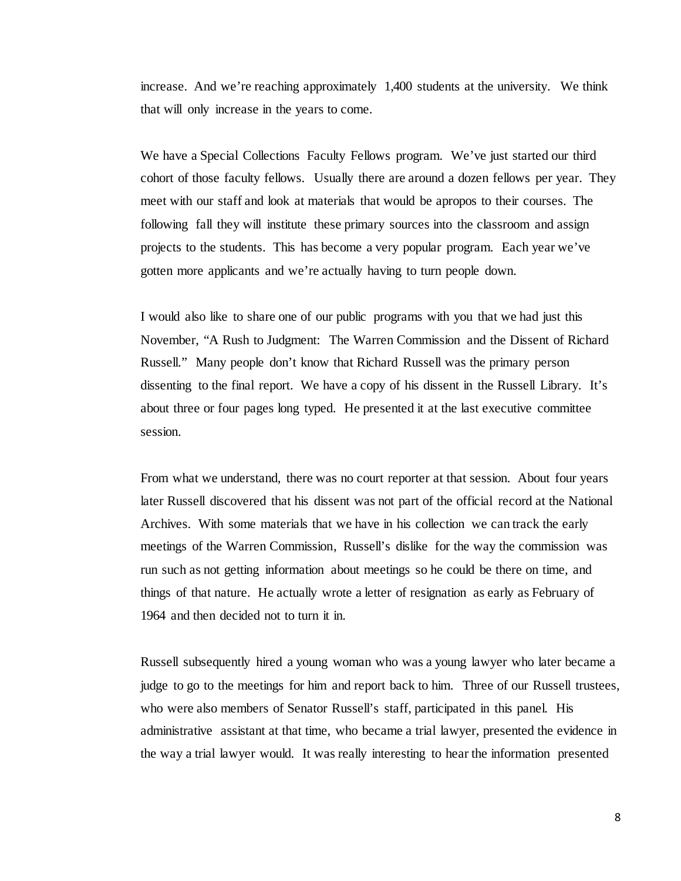increase. And we're reaching approximately 1,400 students at the university. We think that will only increase in the years to come.

We have a Special Collections Faculty Fellows program. We've just started our third cohort of those faculty fellows. Usually there are around a dozen fellows per year. They meet with our staff and look at materials that would be apropos to their courses. The following fall they will institute these primary sources into the classroom and assign projects to the students. This has become a very popular program. Each year we've gotten more applicants and we're actually having to turn people down.

I would also like to share one of our public programs with you that we had just this November, "A Rush to Judgment: The Warren Commission and the Dissent of Richard Russell." Many people don't know that Richard Russell was the primary person dissenting to the final report. We have a copy of his dissent in the Russell Library. It's about three or four pages long typed. He presented it at the last executive committee session.

From what we understand, there was no court reporter at that session. About four years later Russell discovered that his dissent was not part of the official record at the National Archives. With some materials that we have in his collection we can track the early meetings of the Warren Commission, Russell's dislike for the way the commission was run such as not getting information about meetings so he could be there on time, and things of that nature. He actually wrote a letter of resignation as early as February of 1964 and then decided not to turn it in.

Russell subsequently hired a young woman who was a young lawyer who later became a judge to go to the meetings for him and report back to him. Three of our Russell trustees, who were also members of Senator Russell's staff, participated in this panel. His administrative assistant at that time, who became a trial lawyer, presented the evidence in the way a trial lawyer would. It was really interesting to hear the information presented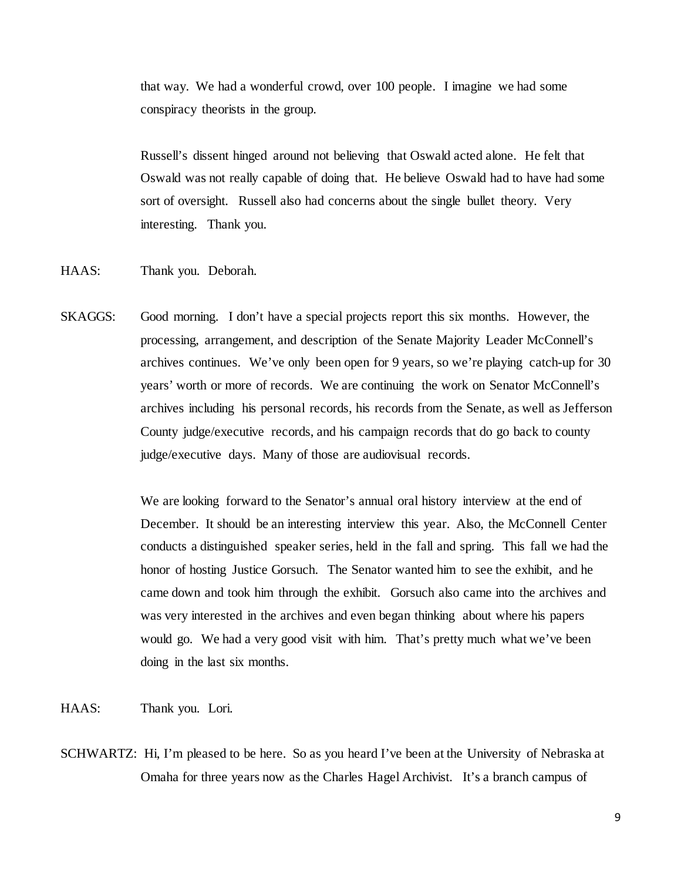that way. We had a wonderful crowd, over 100 people. I imagine we had some conspiracy theorists in the group.

Russell's dissent hinged around not believing that Oswald acted alone. He felt that Oswald was not really capable of doing that. He believe Oswald had to have had some sort of oversight. Russell also had concerns about the single bullet theory. Very interesting. Thank you.

HAAS: Thank you. Deborah.

SKAGGS: Good morning. I don't have a special projects report this six months. However, the processing, arrangement, and description of the Senate Majority Leader McConnell's archives continues. We've only been open for 9 years, so we're playing catch-up for 30 years' worth or more of records. We are continuing the work on Senator McConnell's archives including his personal records, his records from the Senate, as well as Jefferson County judge/executive records, and his campaign records that do go back to county judge/executive days. Many of those are audiovisual records.

> We are looking forward to the Senator's annual oral history interview at the end of December. It should be an interesting interview this year. Also, the McConnell Center conducts a distinguished speaker series, held in the fall and spring. This fall we had the honor of hosting Justice Gorsuch. The Senator wanted him to see the exhibit, and he came down and took him through the exhibit. Gorsuch also came into the archives and was very interested in the archives and even began thinking about where his papers would go. We had a very good visit with him. That's pretty much what we've been doing in the last six months.

HAAS: Thank you. Lori.

SCHWARTZ: Hi, I'm pleased to be here. So as you heard I've been at the University of Nebraska at Omaha for three years now as the Charles Hagel Archivist. It's a branch campus of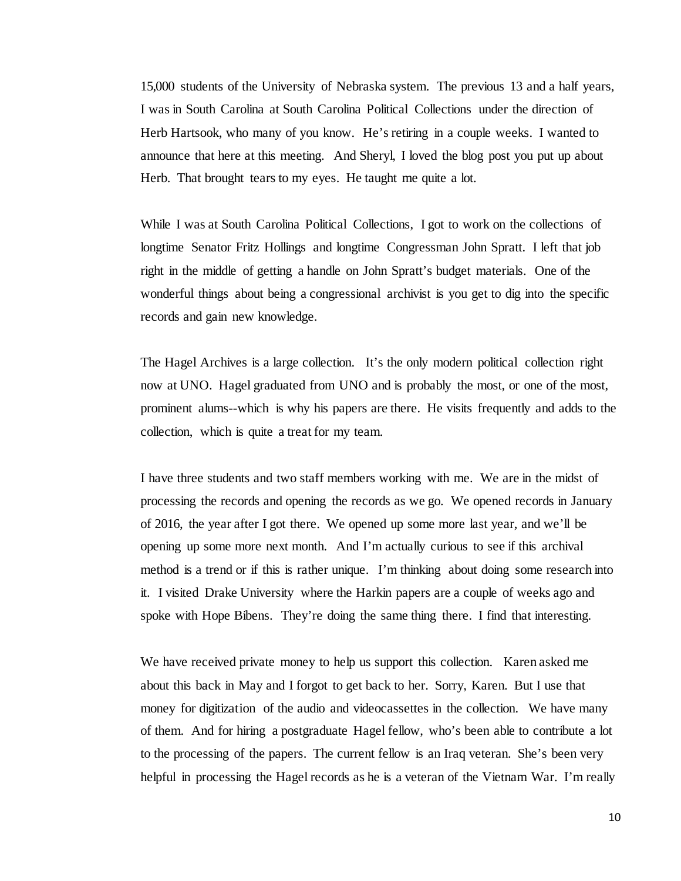15,000 students of the University of Nebraska system. The previous 13 and a half years, I was in South Carolina at South Carolina Political Collections under the direction of Herb Hartsook, who many of you know. He's retiring in a couple weeks. I wanted to announce that here at this meeting. And Sheryl, I loved the blog post you put up about Herb. That brought tears to my eyes. He taught me quite a lot.

While I was at South Carolina Political Collections, I got to work on the collections of longtime Senator Fritz Hollings and longtime Congressman John Spratt. I left that job right in the middle of getting a handle on John Spratt's budget materials. One of the wonderful things about being a congressional archivist is you get to dig into the specific records and gain new knowledge.

The Hagel Archives is a large collection. It's the only modern political collection right now at UNO. Hagel graduated from UNO and is probably the most, or one of the most, prominent alums--which is why his papers are there. He visits frequently and adds to the collection, which is quite a treat for my team.

I have three students and two staff members working with me. We are in the midst of processing the records and opening the records as we go. We opened records in January of 2016, the year after I got there. We opened up some more last year, and we'll be opening up some more next month. And I'm actually curious to see if this archival method is a trend or if this is rather unique. I'm thinking about doing some research into it. I visited Drake University where the Harkin papers are a couple of weeks ago and spoke with Hope Bibens. They're doing the same thing there. I find that interesting.

We have received private money to help us support this collection. Karen asked me about this back in May and I forgot to get back to her. Sorry, Karen. But I use that money for digitization of the audio and videocassettes in the collection. We have many of them. And for hiring a postgraduate Hagel fellow, who's been able to contribute a lot to the processing of the papers. The current fellow is an Iraq veteran. She's been very helpful in processing the Hagel records as he is a veteran of the Vietnam War. I'm really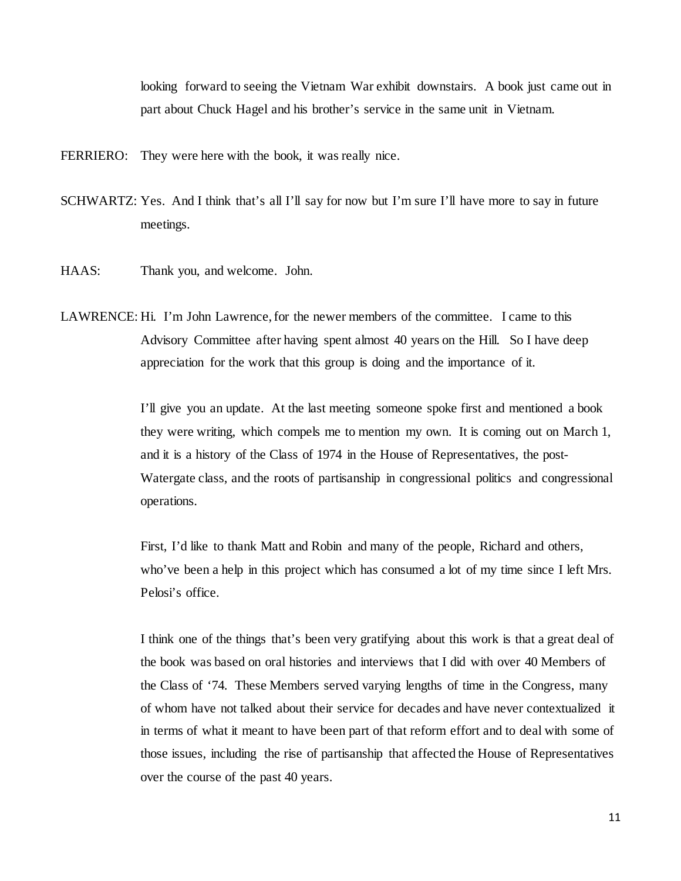looking forward to seeing the Vietnam War exhibit downstairs. A book just came out in part about Chuck Hagel and his brother's service in the same unit in Vietnam.

FERRIERO: They were here with the book, it was really nice.

- SCHWARTZ: Yes. And I think that's all I'll say for now but I'm sure I'll have more to say in future meetings.
- HAAS: Thank you, and welcome. John.
- LAWRENCE: Hi. I'm John Lawrence, for the newer members of the committee. I came to this Advisory Committee after having spent almost 40 years on the Hill. So I have deep appreciation for the work that this group is doing and the importance of it.

I'll give you an update. At the last meeting someone spoke first and mentioned a book they were writing, which compels me to mention my own. It is coming out on March 1, and it is a history of the Class of 1974 in the House of Representatives, the post-Watergate class, and the roots of partisanship in congressional politics and congressional operations.

First, I'd like to thank Matt and Robin and many of the people, Richard and others, who've been a help in this project which has consumed a lot of my time since I left Mrs. Pelosi's office.

I think one of the things that's been very gratifying about this work is that a great deal of the book was based on oral histories and interviews that I did with over 40 Members of the Class of '74. These Members served varying lengths of time in the Congress, many of whom have not talked about their service for decades and have never contextualized it in terms of what it meant to have been part of that reform effort and to deal with some of those issues, including the rise of partisanship that affected the House of Representatives over the course of the past 40 years.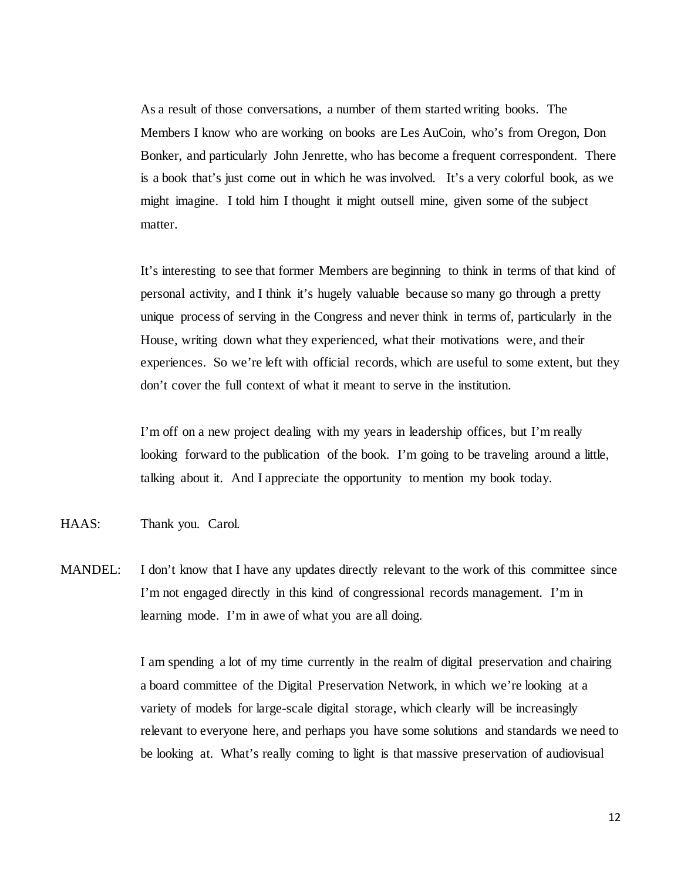As a result of those conversations, a number of them started writing books. The Members I know who are working on books are Les AuCoin, who's from Oregon, Don Bonker, and particularly John Jenrette, who has become a frequent correspondent. There is a book that's just come out in which he was involved. It's a very colorful book, as we might imagine. I told him I thought it might outsell mine, given some of the subject matter.

It's interesting to see that former Members are beginning to think in terms of that kind of personal activity, and I think it's hugely valuable because so many go through a pretty unique process of serving in the Congress and never think in terms of, particularly in the House, writing down what they experienced, what their motivations were, and their experiences. So we're left with official records, which are useful to some extent, but they don't cover the full context of what it meant to serve in the institution.

I'm off on a new project dealing with my years in leadership offices, but I'm really looking forward to the publication of the book. I'm going to be traveling around a little, talking about it. And I appreciate the opportunity to mention my book today.

- HAAS: Thank you. Carol.
- MANDEL: I don't know that I have any updates directly relevant to the work of this committee since I'm not engaged directly in this kind of congressional records management. I'm in learning mode. I'm in awe of what you are all doing.

I am spending a lot of my time currently in the realm of digital preservation and chairing a board committee of the Digital Preservation Network, in which we're looking at a variety of models for large-scale digital storage, which clearly will be increasingly relevant to everyone here, and perhaps you have some solutions and standards we need to be looking at. What's really coming to light is that massive preservation of audiovisual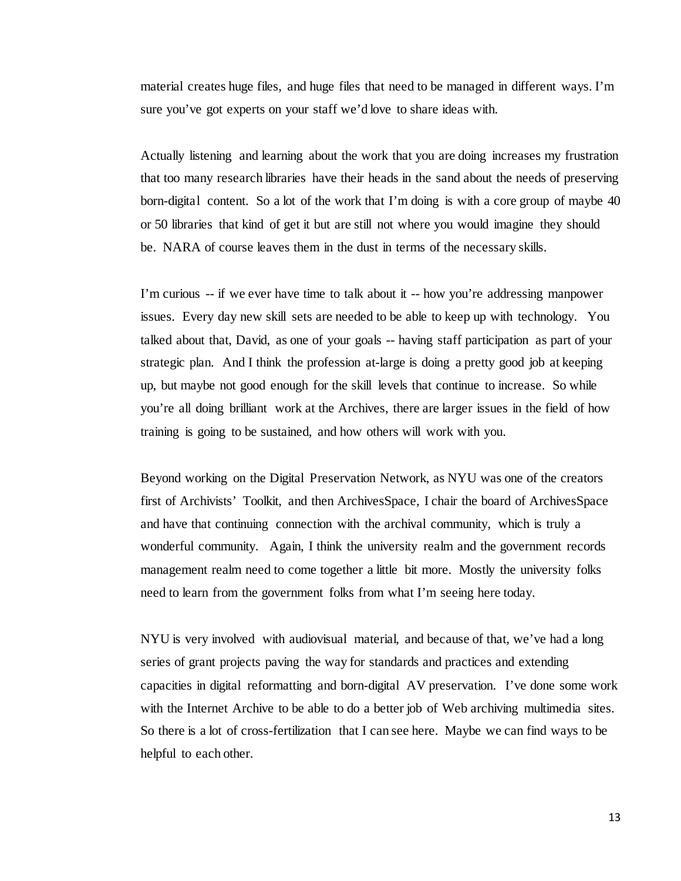material creates huge files, and huge files that need to be managed in different ways. I'm sure you've got experts on your staff we'd love to share ideas with.

Actually listening and learning about the work that you are doing increases my frustration that too many research libraries have their heads in the sand about the needs of preserving born-digital content. So a lot of the work that I'm doing is with a core group of maybe 40 or 50 libraries that kind of get it but are still not where you would imagine they should be. NARA of course leaves them in the dust in terms of the necessary skills.

I'm curious -- if we ever have time to talk about it -- how you're addressing manpower issues. Every day new skill sets are needed to be able to keep up with technology. You talked about that, David, as one of your goals -- having staff participation as part of your strategic plan. And I think the profession at-large is doing a pretty good job at keeping up, but maybe not good enough for the skill levels that continue to increase. So while you're all doing brilliant work at the Archives, there are larger issues in the field of how training is going to be sustained, and how others will work with you.

Beyond working on the Digital Preservation Network, as NYU was one of the creators first of Archivists' Toolkit, and then ArchivesSpace, I chair the board of ArchivesSpace and have that continuing connection with the archival community, which is truly a wonderful community. Again, I think the university realm and the government records management realm need to come together a little bit more. Mostly the university folks need to learn from the government folks from what I'm seeing here today.

NYU is very involved with audiovisual material, and because of that, we've had a long series of grant projects paving the way for standards and practices and extending capacities in digital reformatting and born-digital AV preservation. I've done some work with the Internet Archive to be able to do a better job of Web archiving multimedia sites. So there is a lot of cross-fertilization that I can see here. Maybe we can find ways to be helpful to each other.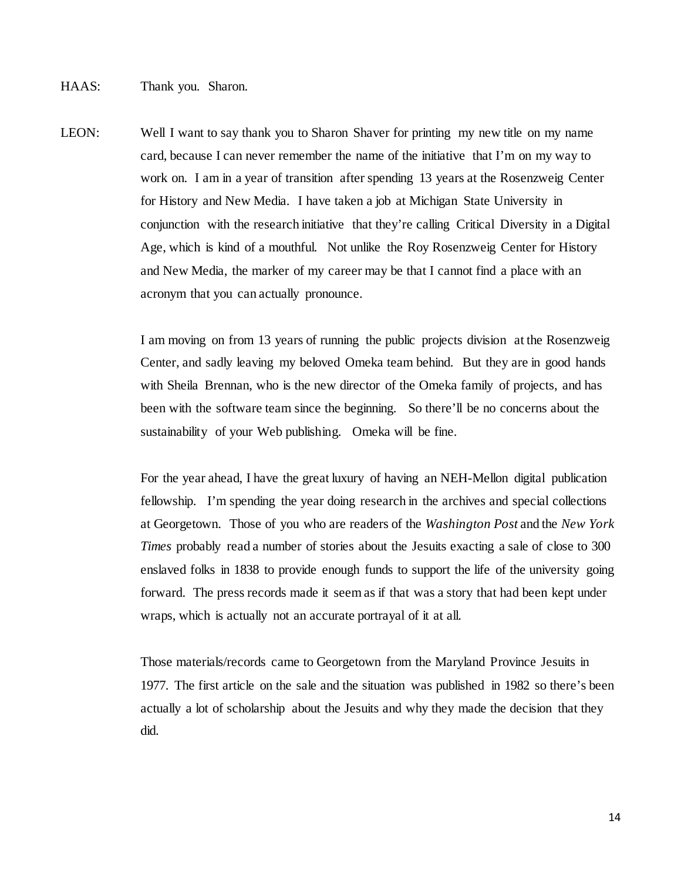LEON: Well I want to say thank you to Sharon Shaver for printing my new title on my name card, because I can never remember the name of the initiative that I'm on my way to work on. I am in a year of transition after spending 13 years at the Rosenzweig Center for History and New Media. I have taken a job at Michigan State University in conjunction with the research initiative that they're calling Critical Diversity in a Digital Age, which is kind of a mouthful. Not unlike the Roy Rosenzweig Center for History and New Media, the marker of my career may be that I cannot find a place with an acronym that you can actually pronounce.

> I am moving on from 13 years of running the public projects division at the Rosenzweig Center, and sadly leaving my beloved Omeka team behind. But they are in good hands with Sheila Brennan, who is the new director of the Omeka family of projects, and has been with the software team since the beginning. So there'll be no concerns about the sustainability of your Web publishing. Omeka will be fine.

> For the year ahead, I have the great luxury of having an NEH-Mellon digital publication fellowship. I'm spending the year doing research in the archives and special collections at Georgetown. Those of you who are readers of the *Washington Post* and the *New York Times* probably read a number of stories about the Jesuits exacting a sale of close to 300 enslaved folks in 1838 to provide enough funds to support the life of the university going forward. The press records made it seem as if that was a story that had been kept under wraps, which is actually not an accurate portrayal of it at all.

> Those materials/records came to Georgetown from the Maryland Province Jesuits in 1977. The first article on the sale and the situation was published in 1982 so there's been actually a lot of scholarship about the Jesuits and why they made the decision that they did.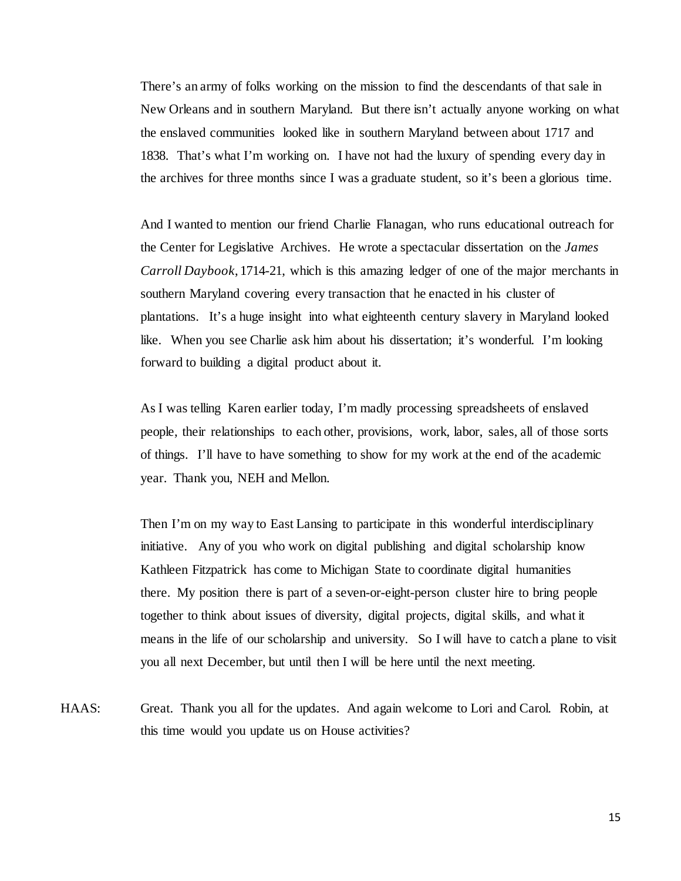There's an army of folks working on the mission to find the descendants of that sale in New Orleans and in southern Maryland. But there isn't actually anyone working on what the enslaved communities looked like in southern Maryland between about 1717 and 1838. That's what I'm working on. I have not had the luxury of spending every day in the archives for three months since I was a graduate student, so it's been a glorious time.

And I wanted to mention our friend Charlie Flanagan, who runs educational outreach for the Center for Legislative Archives. He wrote a spectacular dissertation on the *James Carroll Daybook*, 1714-21, which is this amazing ledger of one of the major merchants in southern Maryland covering every transaction that he enacted in his cluster of plantations. It's a huge insight into what eighteenth century slavery in Maryland looked like. When you see Charlie ask him about his dissertation; it's wonderful. I'm looking forward to building a digital product about it.

As I was telling Karen earlier today, I'm madly processing spreadsheets of enslaved people, their relationships to each other, provisions, work, labor, sales, all of those sorts of things. I'll have to have something to show for my work at the end of the academic year. Thank you, NEH and Mellon.

Then I'm on my way to East Lansing to participate in this wonderful interdisciplinary initiative. Any of you who work on digital publishing and digital scholarship know Kathleen Fitzpatrick has come to Michigan State to coordinate digital humanities there. My position there is part of a seven-or-eight-person cluster hire to bring people together to think about issues of diversity, digital projects, digital skills, and what it means in the life of our scholarship and university. So I will have to catch a plane to visit you all next December, but until then I will be here until the next meeting.

HAAS: Great. Thank you all for the updates. And again welcome to Lori and Carol. Robin, at this time would you update us on House activities?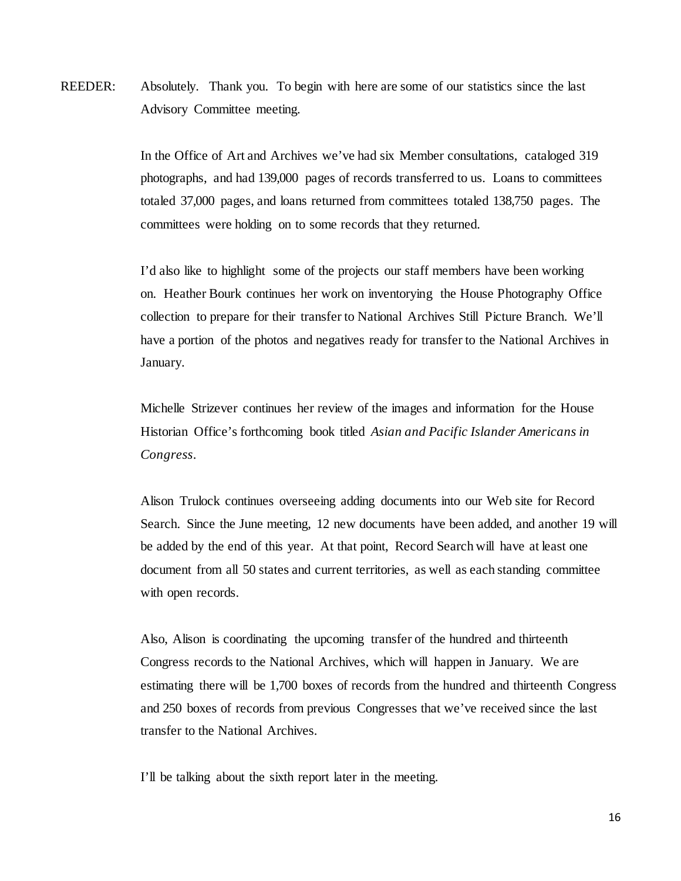REEDER: Absolutely. Thank you. To begin with here are some of our statistics since the last Advisory Committee meeting.

> In the Office of Art and Archives we've had six Member consultations, cataloged 319 photographs, and had 139,000 pages of records transferred to us. Loans to committees totaled 37,000 pages, and loans returned from committees totaled 138,750 pages. The committees were holding on to some records that they returned.

I'd also like to highlight some of the projects our staff members have been working on. Heather Bourk continues her work on inventorying the House Photography Office collection to prepare for their transfer to National Archives Still Picture Branch. We'll have a portion of the photos and negatives ready for transfer to the National Archives in January.

Michelle Strizever continues her review of the images and information for the House Historian Office's forthcoming book titled *Asian and Pacific Islander Americans in Congress*.

Alison Trulock continues overseeing adding documents into our Web site for Record Search. Since the June meeting, 12 new documents have been added, and another 19 will be added by the end of this year. At that point, Record Search will have at least one document from all 50 states and current territories, as well as each standing committee with open records.

Also, Alison is coordinating the upcoming transfer of the hundred and thirteenth Congress records to the National Archives, which will happen in January. We are estimating there will be 1,700 boxes of records from the hundred and thirteenth Congress and 250 boxes of records from previous Congresses that we've received since the last transfer to the National Archives.

I'll be talking about the sixth report later in the meeting.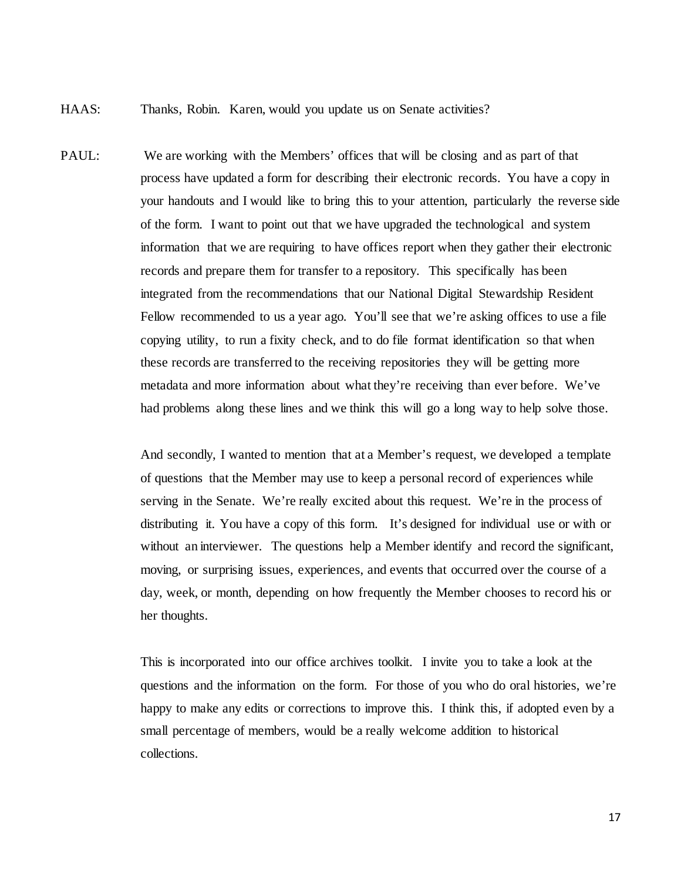- HAAS: Thanks, Robin. Karen, would you update us on Senate activities?
- PAUL: We are working with the Members' offices that will be closing and as part of that process have updated a form for describing their electronic records. You have a copy in your handouts and I would like to bring this to your attention, particularly the reverse side of the form. I want to point out that we have upgraded the technological and system information that we are requiring to have offices report when they gather their electronic records and prepare them for transfer to a repository. This specifically has been integrated from the recommendations that our National Digital Stewardship Resident Fellow recommended to us a year ago. You'll see that we're asking offices to use a file copying utility, to run a fixity check, and to do file format identification so that when these records are transferred to the receiving repositories they will be getting more metadata and more information about what they're receiving than ever before. We've had problems along these lines and we think this will go a long way to help solve those.

And secondly, I wanted to mention that at a Member's request, we developed a template of questions that the Member may use to keep a personal record of experiences while serving in the Senate. We're really excited about this request. We're in the process of distributing it. You have a copy of this form. It's designed for individual use or with or without an interviewer. The questions help a Member identify and record the significant, moving, or surprising issues, experiences, and events that occurred over the course of a day, week, or month, depending on how frequently the Member chooses to record his or her thoughts.

This is incorporated into our office archives toolkit. I invite you to take a look at the questions and the information on the form. For those of you who do oral histories, we're happy to make any edits or corrections to improve this. I think this, if adopted even by a small percentage of members, would be a really welcome addition to historical collections.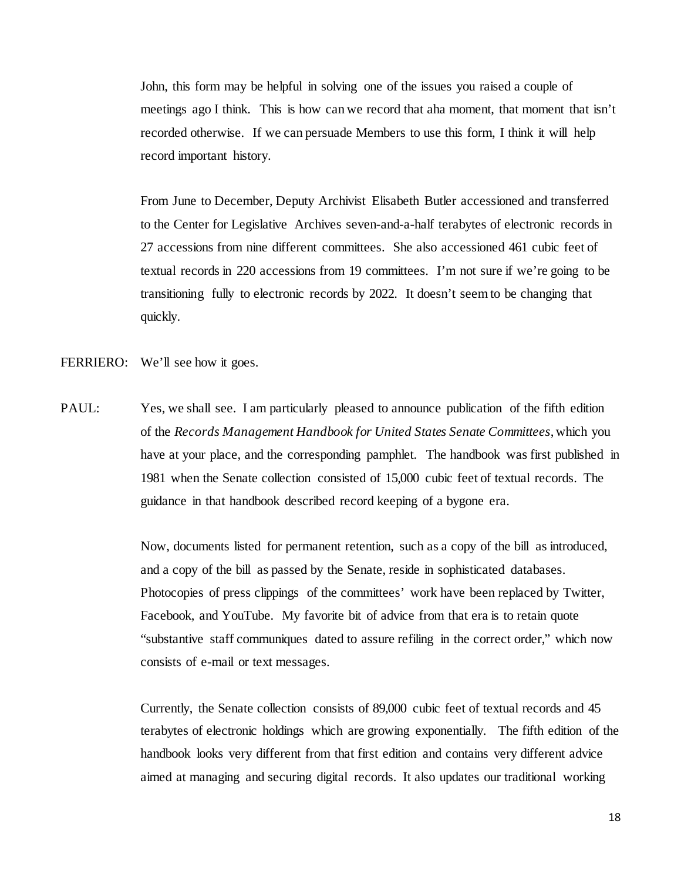John, this form may be helpful in solving one of the issues you raised a couple of meetings ago I think. This is how can we record that aha moment, that moment that isn't recorded otherwise. If we can persuade Members to use this form, I think it will help record important history.

From June to December, Deputy Archivist Elisabeth Butler accessioned and transferred to the Center for Legislative Archives seven-and-a-half terabytes of electronic records in 27 accessions from nine different committees. She also accessioned 461 cubic feet of textual records in 220 accessions from 19 committees. I'm not sure if we're going to be transitioning fully to electronic records by 2022. It doesn't seem to be changing that quickly.

- FERRIERO: We'll see how it goes.
- PAUL: Yes, we shall see. I am particularly pleased to announce publication of the fifth edition of the *Records Management Handbook for United States Senate Committees*, which you have at your place, and the corresponding pamphlet. The handbook was first published in 1981 when the Senate collection consisted of 15,000 cubic feet of textual records. The guidance in that handbook described record keeping of a bygone era.

Now, documents listed for permanent retention, such as a copy of the bill as introduced, and a copy of the bill as passed by the Senate, reside in sophisticated databases. Photocopies of press clippings of the committees' work have been replaced by Twitter, Facebook, and YouTube. My favorite bit of advice from that era is to retain quote "substantive staff communiques dated to assure refiling in the correct order," which now consists of e-mail or text messages.

Currently, the Senate collection consists of 89,000 cubic feet of textual records and 45 terabytes of electronic holdings which are growing exponentially. The fifth edition of the handbook looks very different from that first edition and contains very different advice aimed at managing and securing digital records. It also updates our traditional working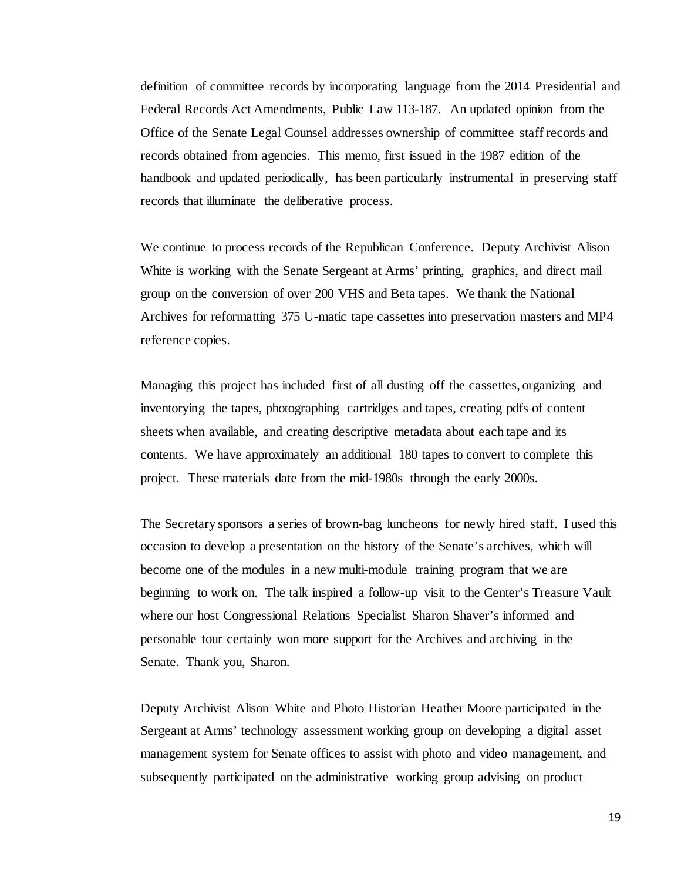definition of committee records by incorporating language from the 2014 Presidential and Federal Records Act Amendments, Public Law 113-187. An updated opinion from the Office of the Senate Legal Counsel addresses ownership of committee staff records and records obtained from agencies. This memo, first issued in the 1987 edition of the handbook and updated periodically, has been particularly instrumental in preserving staff records that illuminate the deliberative process.

We continue to process records of the Republican Conference. Deputy Archivist Alison White is working with the Senate Sergeant at Arms' printing, graphics, and direct mail group on the conversion of over 200 VHS and Beta tapes. We thank the National Archives for reformatting 375 U-matic tape cassettes into preservation masters and MP4 reference copies.

Managing this project has included first of all dusting off the cassettes, organizing and inventorying the tapes, photographing cartridges and tapes, creating pdfs of content sheets when available, and creating descriptive metadata about each tape and its contents. We have approximately an additional 180 tapes to convert to complete this project. These materials date from the mid-1980s through the early 2000s.

The Secretary sponsors a series of brown-bag luncheons for newly hired staff. I used this occasion to develop a presentation on the history of the Senate's archives, which will become one of the modules in a new multi-module training program that we are beginning to work on. The talk inspired a follow-up visit to the Center's Treasure Vault where our host Congressional Relations Specialist Sharon Shaver's informed and personable tour certainly won more support for the Archives and archiving in the Senate. Thank you, Sharon.

Deputy Archivist Alison White and Photo Historian Heather Moore participated in the Sergeant at Arms' technology assessment working group on developing a digital asset management system for Senate offices to assist with photo and video management, and subsequently participated on the administrative working group advising on product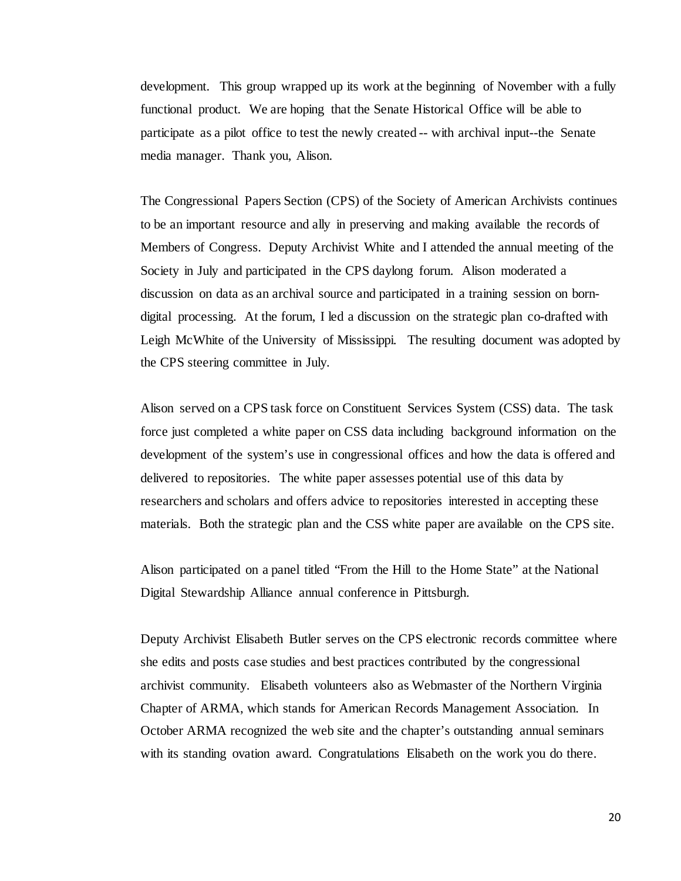development. This group wrapped up its work at the beginning of November with a fully functional product. We are hoping that the Senate Historical Office will be able to participate as a pilot office to test the newly created -- with archival input--the Senate media manager. Thank you, Alison.

The Congressional Papers Section (CPS) of the Society of American Archivists continues to be an important resource and ally in preserving and making available the records of Members of Congress. Deputy Archivist White and I attended the annual meeting of the Society in July and participated in the CPS daylong forum. Alison moderated a discussion on data as an archival source and participated in a training session on borndigital processing. At the forum, I led a discussion on the strategic plan co-drafted with Leigh McWhite of the University of Mississippi. The resulting document was adopted by the CPS steering committee in July.

Alison served on a CPS task force on Constituent Services System (CSS) data. The task force just completed a white paper on CSS data including background information on the development of the system's use in congressional offices and how the data is offered and delivered to repositories. The white paper assesses potential use of this data by researchers and scholars and offers advice to repositories interested in accepting these materials. Both the strategic plan and the CSS white paper are available on the CPS site.

Alison participated on a panel titled "From the Hill to the Home State" at the National Digital Stewardship Alliance annual conference in Pittsburgh.

Deputy Archivist Elisabeth Butler serves on the CPS electronic records committee where she edits and posts case studies and best practices contributed by the congressional archivist community. Elisabeth volunteers also as Webmaster of the Northern Virginia Chapter of ARMA, which stands for American Records Management Association. In October ARMA recognized the web site and the chapter's outstanding annual seminars with its standing ovation award. Congratulations Elisabeth on the work you do there.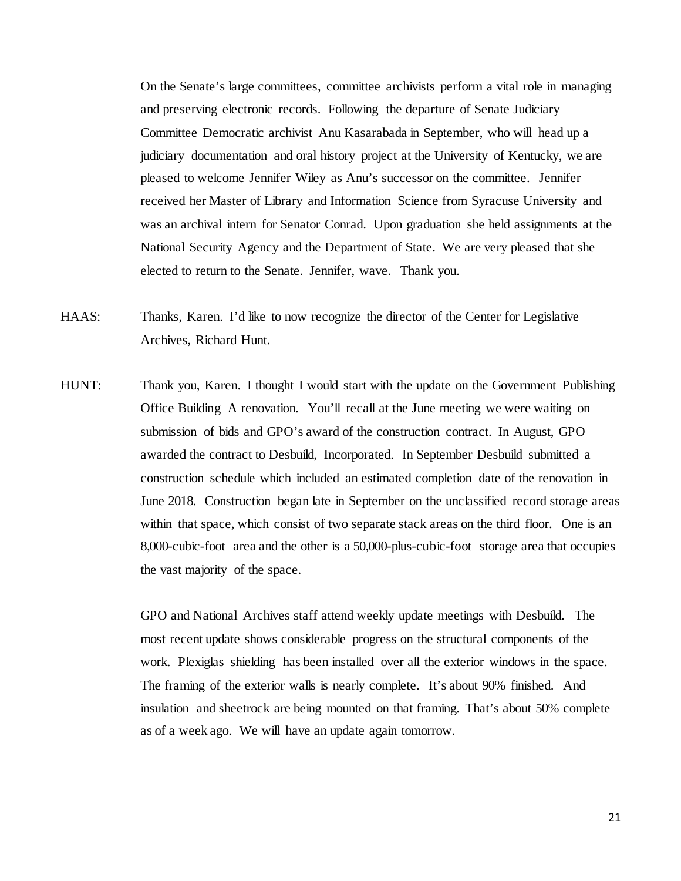On the Senate's large committees, committee archivists perform a vital role in managing and preserving electronic records. Following the departure of Senate Judiciary Committee Democratic archivist Anu Kasarabada in September, who will head up a judiciary documentation and oral history project at the University of Kentucky, we are pleased to welcome Jennifer Wiley as Anu's successor on the committee. Jennifer received her Master of Library and Information Science from Syracuse University and was an archival intern for Senator Conrad. Upon graduation she held assignments at the National Security Agency and the Department of State. We are very pleased that she elected to return to the Senate. Jennifer, wave. Thank you.

- HAAS: Thanks, Karen. I'd like to now recognize the director of the Center for Legislative Archives, Richard Hunt.
- HUNT: Thank you, Karen. I thought I would start with the update on the Government Publishing Office Building A renovation. You'll recall at the June meeting we were waiting on submission of bids and GPO's award of the construction contract. In August, GPO awarded the contract to Desbuild, Incorporated. In September Desbuild submitted a construction schedule which included an estimated completion date of the renovation in June 2018. Construction began late in September on the unclassified record storage areas within that space, which consist of two separate stack areas on the third floor. One is an 8,000-cubic-foot area and the other is a 50,000-plus-cubic-foot storage area that occupies the vast majority of the space.

GPO and National Archives staff attend weekly update meetings with Desbuild. The most recent update shows considerable progress on the structural components of the work. Plexiglas shielding has been installed over all the exterior windows in the space. The framing of the exterior walls is nearly complete. It's about 90% finished. And insulation and sheetrock are being mounted on that framing. That's about 50% complete as of a week ago. We will have an update again tomorrow.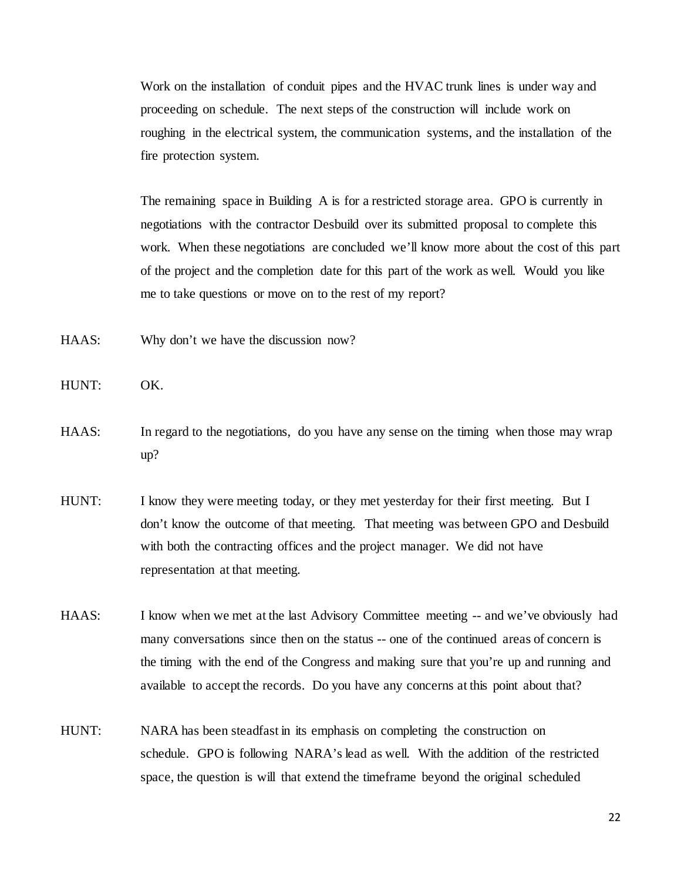Work on the installation of conduit pipes and the HVAC trunk lines is under way and proceeding on schedule. The next steps of the construction will include work on roughing in the electrical system, the communication systems, and the installation of the fire protection system.

The remaining space in Building A is for a restricted storage area. GPO is currently in negotiations with the contractor Desbuild over its submitted proposal to complete this work. When these negotiations are concluded we'll know more about the cost of this part of the project and the completion date for this part of the work as well. Would you like me to take questions or move on to the rest of my report?

- HAAS: Why don't we have the discussion now?
- HUNT: OK.
- HAAS: In regard to the negotiations, do you have any sense on the timing when those may wrap up?
- HUNT: I know they were meeting today, or they met yesterday for their first meeting. But I don't know the outcome of that meeting. That meeting was between GPO and Desbuild with both the contracting offices and the project manager. We did not have representation at that meeting.
- HAAS: I know when we met at the last Advisory Committee meeting -- and we've obviously had many conversations since then on the status -- one of the continued areas of concern is the timing with the end of the Congress and making sure that you're up and running and available to accept the records. Do you have any concerns at this point about that?
- HUNT: NARA has been steadfast in its emphasis on completing the construction on schedule. GPO is following NARA's lead as well. With the addition of the restricted space, the question is will that extend the timeframe beyond the original scheduled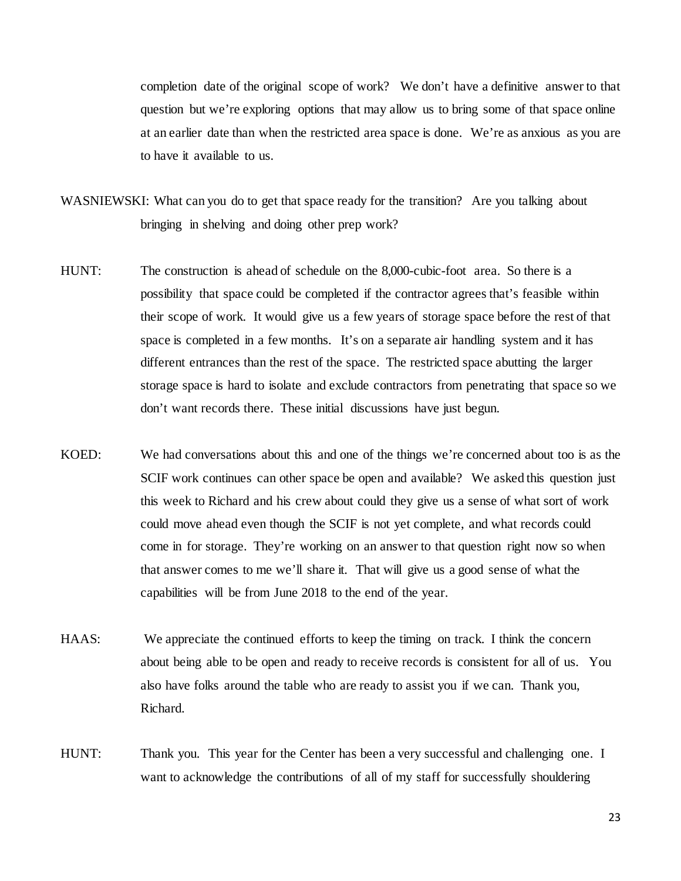completion date of the original scope of work? We don't have a definitive answer to that question but we're exploring options that may allow us to bring some of that space online at an earlier date than when the restricted area space is done. We're as anxious as you are to have it available to us.

- WASNIEWSKI: What can you do to get that space ready for the transition? Are you talking about bringing in shelving and doing other prep work?
- HUNT: The construction is ahead of schedule on the 8,000-cubic-foot area. So there is a possibility that space could be completed if the contractor agrees that's feasible within their scope of work. It would give us a few years of storage space before the rest of that space is completed in a few months. It's on a separate air handling system and it has different entrances than the rest of the space. The restricted space abutting the larger storage space is hard to isolate and exclude contractors from penetrating that space so we don't want records there. These initial discussions have just begun.
- KOED: We had conversations about this and one of the things we're concerned about too is as the SCIF work continues can other space be open and available? We asked this question just this week to Richard and his crew about could they give us a sense of what sort of work could move ahead even though the SCIF is not yet complete, and what records could come in for storage. They're working on an answer to that question right now so when that answer comes to me we'll share it. That will give us a good sense of what the capabilities will be from June 2018 to the end of the year.
- HAAS: We appreciate the continued efforts to keep the timing on track. I think the concern about being able to be open and ready to receive records is consistent for all of us. You also have folks around the table who are ready to assist you if we can. Thank you, Richard.
- HUNT: Thank you. This year for the Center has been a very successful and challenging one. I want to acknowledge the contributions of all of my staff for successfully shouldering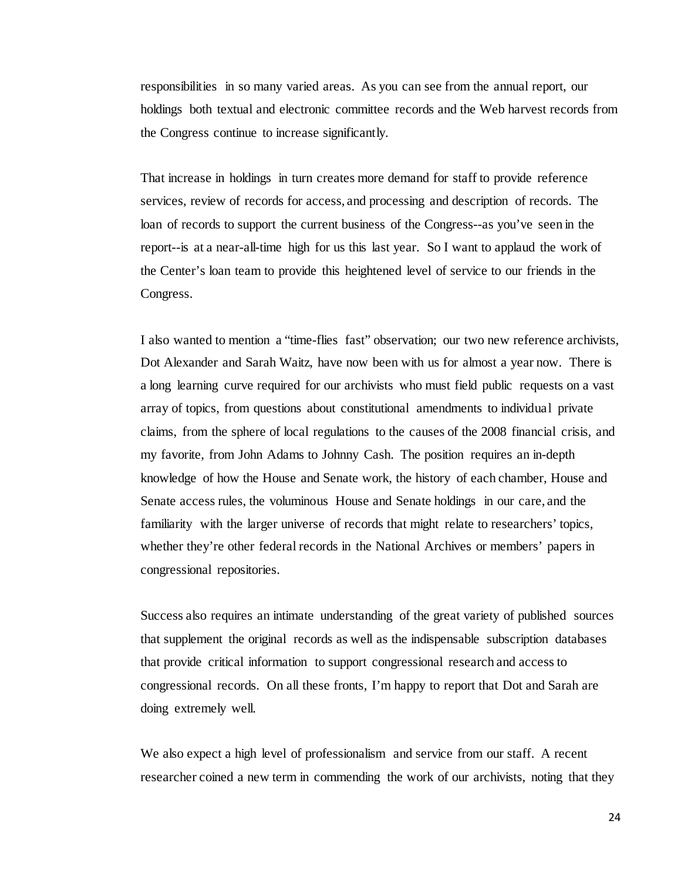responsibilities in so many varied areas. As you can see from the annual report, our holdings both textual and electronic committee records and the Web harvest records from the Congress continue to increase significantly.

That increase in holdings in turn creates more demand for staff to provide reference services, review of records for access, and processing and description of records. The loan of records to support the current business of the Congress--as you've seen in the report--is at a near-all-time high for us this last year. So I want to applaud the work of the Center's loan team to provide this heightened level of service to our friends in the Congress.

I also wanted to mention a "time-flies fast" observation; our two new reference archivists, Dot Alexander and Sarah Waitz, have now been with us for almost a year now. There is a long learning curve required for our archivists who must field public requests on a vast array of topics, from questions about constitutional amendments to individual private claims, from the sphere of local regulations to the causes of the 2008 financial crisis, and my favorite, from John Adams to Johnny Cash. The position requires an in-depth knowledge of how the House and Senate work, the history of each chamber, House and Senate access rules, the voluminous House and Senate holdings in our care, and the familiarity with the larger universe of records that might relate to researchers' topics, whether they're other federal records in the National Archives or members' papers in congressional repositories.

Success also requires an intimate understanding of the great variety of published sources that supplement the original records as well as the indispensable subscription databases that provide critical information to support congressional research and access to congressional records. On all these fronts, I'm happy to report that Dot and Sarah are doing extremely well.

We also expect a high level of professionalism and service from our staff. A recent researcher coined a new term in commending the work of our archivists, noting that they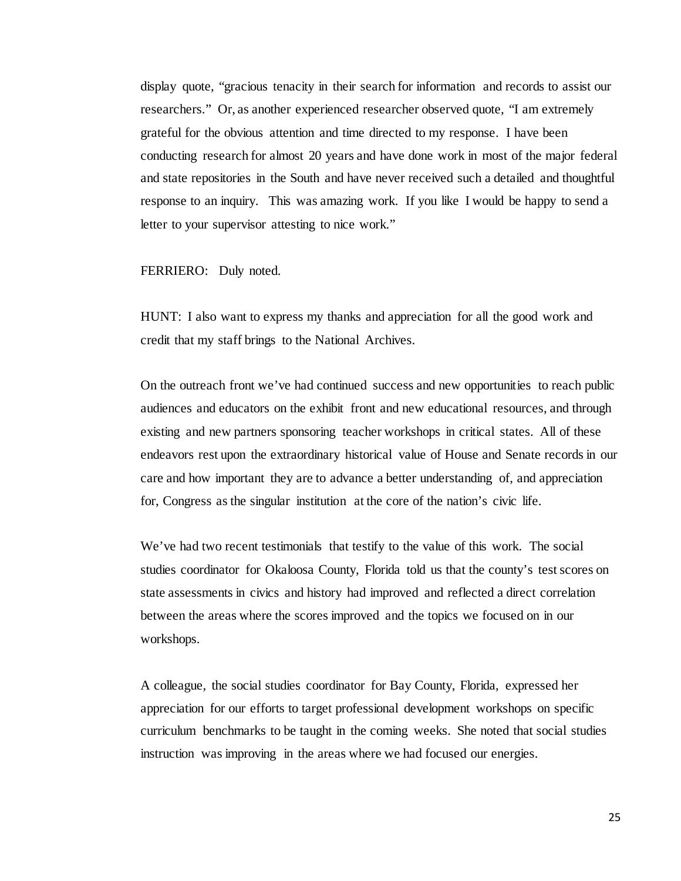display quote, "gracious tenacity in their search for information and records to assist our researchers." Or, as another experienced researcher observed quote, "I am extremely grateful for the obvious attention and time directed to my response. I have been conducting research for almost 20 years and have done work in most of the major federal and state repositories in the South and have never received such a detailed and thoughtful response to an inquiry. This was amazing work. If you like I would be happy to send a letter to your supervisor attesting to nice work."

## FERRIERO: Duly noted.

HUNT: I also want to express my thanks and appreciation for all the good work and credit that my staff brings to the National Archives.

On the outreach front we've had continued success and new opportunities to reach public audiences and educators on the exhibit front and new educational resources, and through existing and new partners sponsoring teacher workshops in critical states. All of these endeavors rest upon the extraordinary historical value of House and Senate records in our care and how important they are to advance a better understanding of, and appreciation for, Congress as the singular institution at the core of the nation's civic life.

We've had two recent testimonials that testify to the value of this work. The social studies coordinator for Okaloosa County, Florida told us that the county's test scores on state assessments in civics and history had improved and reflected a direct correlation between the areas where the scores improved and the topics we focused on in our workshops.

A colleague, the social studies coordinator for Bay County, Florida, expressed her appreciation for our efforts to target professional development workshops on specific curriculum benchmarks to be taught in the coming weeks. She noted that social studies instruction was improving in the areas where we had focused our energies.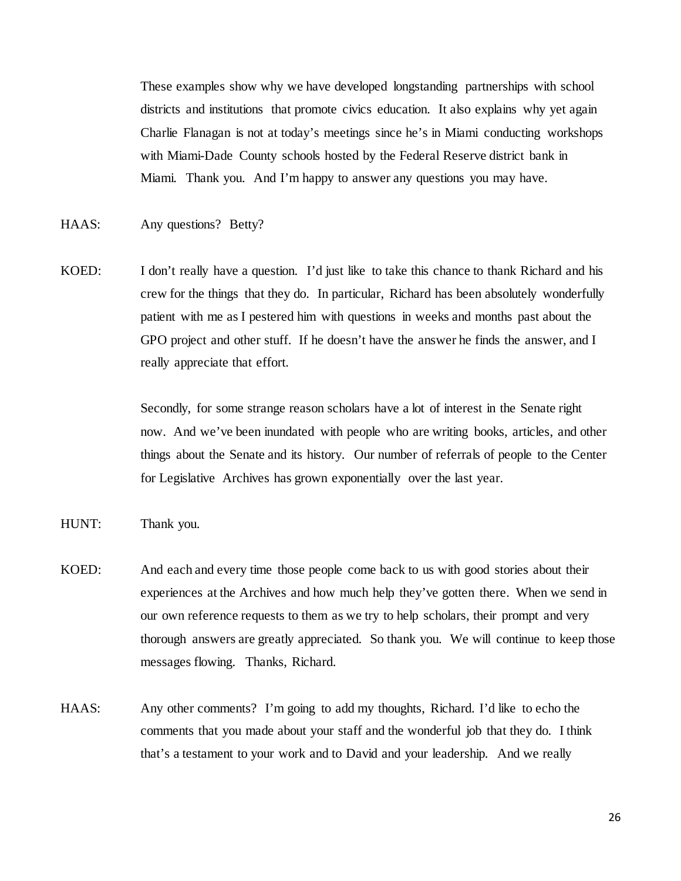These examples show why we have developed longstanding partnerships with school districts and institutions that promote civics education. It also explains why yet again Charlie Flanagan is not at today's meetings since he's in Miami conducting workshops with Miami-Dade County schools hosted by the Federal Reserve district bank in Miami. Thank you. And I'm happy to answer any questions you may have.

- HAAS: Any questions? Betty?
- KOED: I don't really have a question. I'd just like to take this chance to thank Richard and his crew for the things that they do. In particular, Richard has been absolutely wonderfully patient with me as I pestered him with questions in weeks and months past about the GPO project and other stuff. If he doesn't have the answer he finds the answer, and I really appreciate that effort.

Secondly, for some strange reason scholars have a lot of interest in the Senate right now. And we've been inundated with people who are writing books, articles, and other things about the Senate and its history. Our number of referrals of people to the Center for Legislative Archives has grown exponentially over the last year.

- HUNT: Thank you.
- KOED: And each and every time those people come back to us with good stories about their experiences at the Archives and how much help they've gotten there. When we send in our own reference requests to them as we try to help scholars, their prompt and very thorough answers are greatly appreciated. So thank you. We will continue to keep those messages flowing. Thanks, Richard.
- HAAS: Any other comments? I'm going to add my thoughts, Richard. I'd like to echo the comments that you made about your staff and the wonderful job that they do. I think that's a testament to your work and to David and your leadership. And we really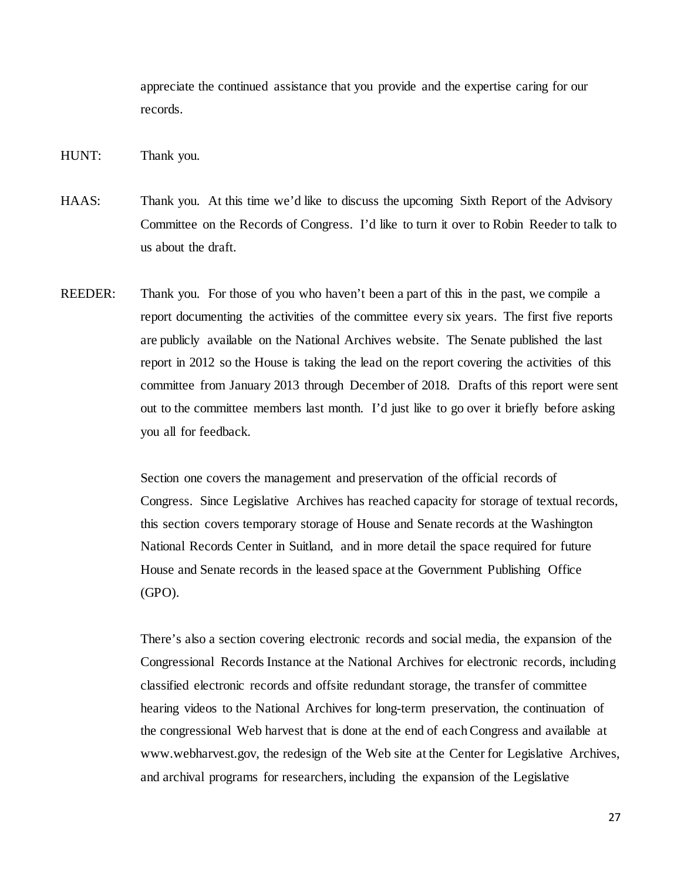appreciate the continued assistance that you provide and the expertise caring for our records.

- HUNT: Thank you.
- HAAS: Thank you. At this time we'd like to discuss the upcoming Sixth Report of the Advisory Committee on the Records of Congress. I'd like to turn it over to Robin Reeder to talk to us about the draft.
- REEDER: Thank you. For those of you who haven't been a part of this in the past, we compile a report documenting the activities of the committee every six years. The first five reports are publicly available on the National Archives website. The Senate published the last report in 2012 so the House is taking the lead on the report covering the activities of this committee from January 2013 through December of 2018. Drafts of this report were sent out to the committee members last month. I'd just like to go over it briefly before asking you all for feedback.

Section one covers the management and preservation of the official records of Congress. Since Legislative Archives has reached capacity for storage of textual records, this section covers temporary storage of House and Senate records at the Washington National Records Center in Suitland, and in more detail the space required for future House and Senate records in the leased space at the Government Publishing Office (GPO).

There's also a section covering electronic records and social media, the expansion of the Congressional Records Instance at the National Archives for electronic records, including classified electronic records and offsite redundant storage, the transfer of committee hearing videos to the National Archives for long-term preservation, the continuation of the congressional Web harvest that is done at the end of each Congress and available at www.webharvest.gov, the redesign of the Web site at the Center for Legislative Archives, and archival programs for researchers, including the expansion of the Legislative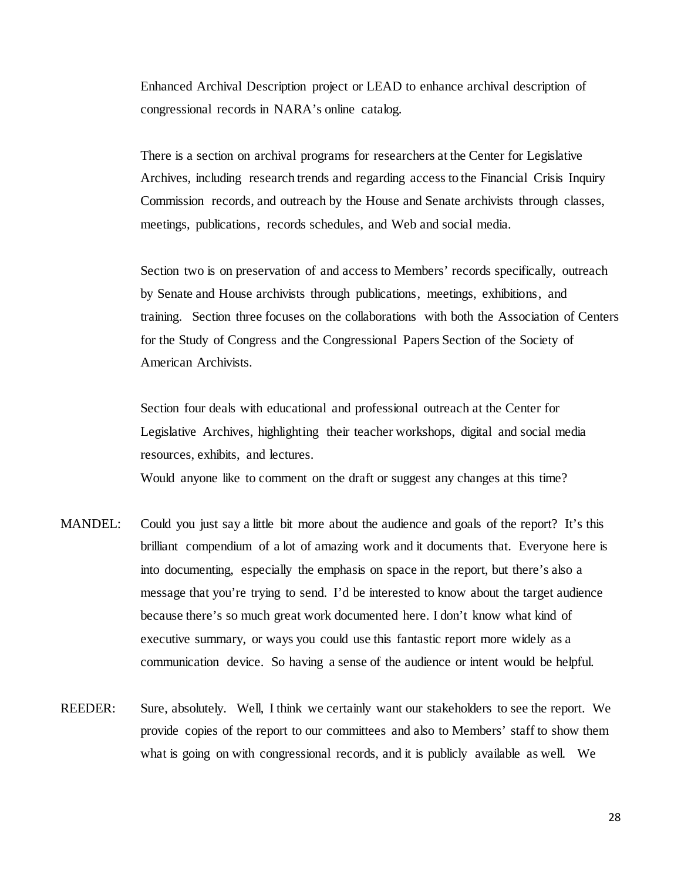Enhanced Archival Description project or LEAD to enhance archival description of congressional records in NARA's online catalog.

There is a section on archival programs for researchers at the Center for Legislative Archives, including research trends and regarding access to the Financial Crisis Inquiry Commission records, and outreach by the House and Senate archivists through classes, meetings, publications, records schedules, and Web and social media.

Section two is on preservation of and access to Members' records specifically, outreach by Senate and House archivists through publications, meetings, exhibitions, and training. Section three focuses on the collaborations with both the Association of Centers for the Study of Congress and the Congressional Papers Section of the Society of American Archivists.

Section four deals with educational and professional outreach at the Center for Legislative Archives, highlighting their teacher workshops, digital and social media resources, exhibits, and lectures.

Would anyone like to comment on the draft or suggest any changes at this time?

- MANDEL: Could you just say a little bit more about the audience and goals of the report? It's this brilliant compendium of a lot of amazing work and it documents that. Everyone here is into documenting, especially the emphasis on space in the report, but there's also a message that you're trying to send. I'd be interested to know about the target audience because there's so much great work documented here. I don't know what kind of executive summary, or ways you could use this fantastic report more widely as a communication device. So having a sense of the audience or intent would be helpful.
- REEDER: Sure, absolutely. Well, I think we certainly want our stakeholders to see the report. We provide copies of the report to our committees and also to Members' staff to show them what is going on with congressional records, and it is publicly available as well. We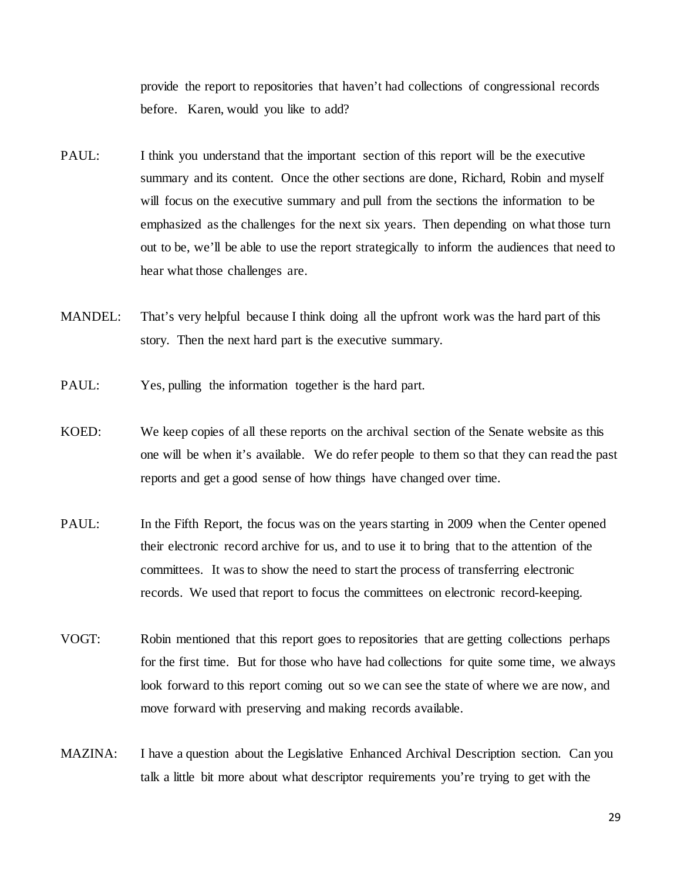provide the report to repositories that haven't had collections of congressional records before. Karen, would you like to add?

- PAUL: I think you understand that the important section of this report will be the executive summary and its content. Once the other sections are done, Richard, Robin and myself will focus on the executive summary and pull from the sections the information to be emphasized as the challenges for the next six years. Then depending on what those turn out to be, we'll be able to use the report strategically to inform the audiences that need to hear what those challenges are.
- MANDEL: That's very helpful because I think doing all the upfront work was the hard part of this story. Then the next hard part is the executive summary.
- PAUL: Yes, pulling the information together is the hard part.
- KOED: We keep copies of all these reports on the archival section of the Senate website as this one will be when it's available. We do refer people to them so that they can read the past reports and get a good sense of how things have changed over time.
- PAUL: In the Fifth Report, the focus was on the years starting in 2009 when the Center opened their electronic record archive for us, and to use it to bring that to the attention of the committees. It was to show the need to start the process of transferring electronic records. We used that report to focus the committees on electronic record-keeping.
- VOGT: Robin mentioned that this report goes to repositories that are getting collections perhaps for the first time. But for those who have had collections for quite some time, we always look forward to this report coming out so we can see the state of where we are now, and move forward with preserving and making records available.
- MAZINA: I have a question about the Legislative Enhanced Archival Description section. Can you talk a little bit more about what descriptor requirements you're trying to get with the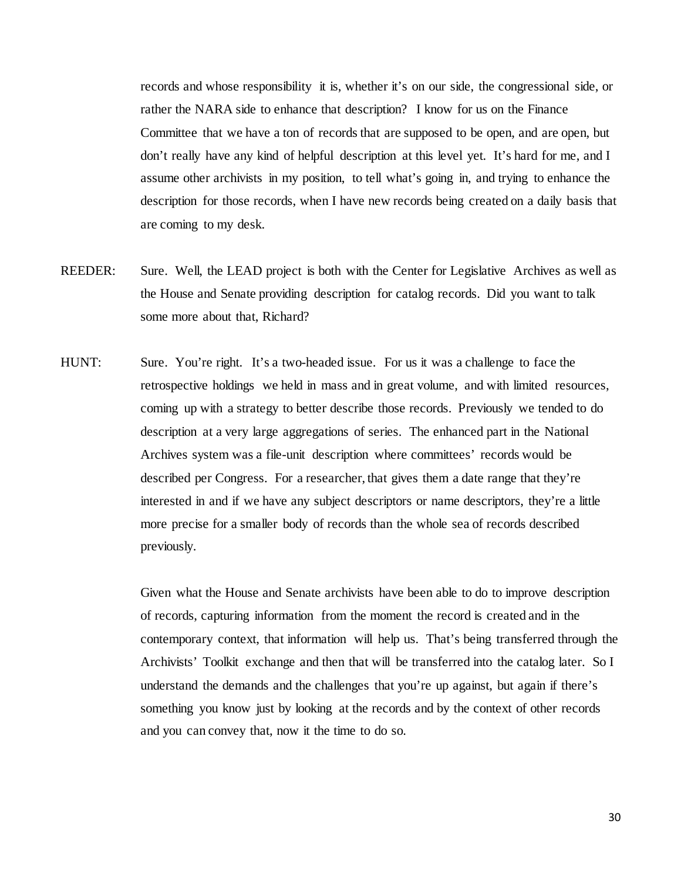records and whose responsibility it is, whether it's on our side, the congressional side, or rather the NARA side to enhance that description? I know for us on the Finance Committee that we have a ton of records that are supposed to be open, and are open, but don't really have any kind of helpful description at this level yet. It's hard for me, and I assume other archivists in my position, to tell what's going in, and trying to enhance the description for those records, when I have new records being created on a daily basis that are coming to my desk.

- REEDER: Sure. Well, the LEAD project is both with the Center for Legislative Archives as well as the House and Senate providing description for catalog records. Did you want to talk some more about that, Richard?
- HUNT: Sure. You're right. It's a two-headed issue. For us it was a challenge to face the retrospective holdings we held in mass and in great volume, and with limited resources, coming up with a strategy to better describe those records. Previously we tended to do description at a very large aggregations of series. The enhanced part in the National Archives system was a file-unit description where committees' records would be described per Congress. For a researcher, that gives them a date range that they're interested in and if we have any subject descriptors or name descriptors, they're a little more precise for a smaller body of records than the whole sea of records described previously.

Given what the House and Senate archivists have been able to do to improve description of records, capturing information from the moment the record is created and in the contemporary context, that information will help us. That's being transferred through the Archivists' Toolkit exchange and then that will be transferred into the catalog later. So I understand the demands and the challenges that you're up against, but again if there's something you know just by looking at the records and by the context of other records and you can convey that, now it the time to do so.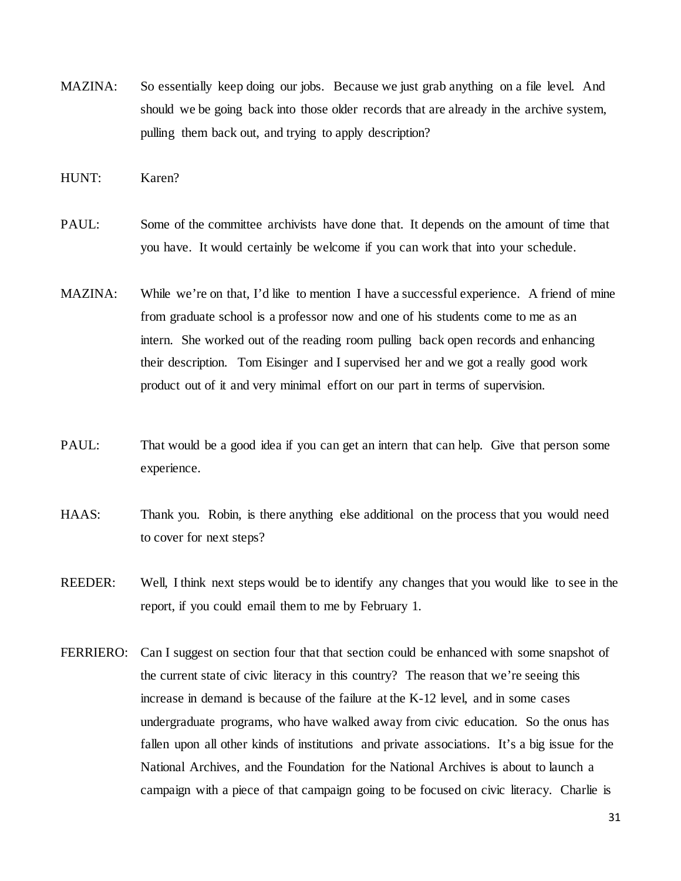MAZINA: So essentially keep doing our jobs. Because we just grab anything on a file level. And should we be going back into those older records that are already in the archive system, pulling them back out, and trying to apply description?

HUNT: Karen?

- PAUL: Some of the committee archivists have done that. It depends on the amount of time that you have. It would certainly be welcome if you can work that into your schedule.
- MAZINA: While we're on that, I'd like to mention I have a successful experience. A friend of mine from graduate school is a professor now and one of his students come to me as an intern. She worked out of the reading room pulling back open records and enhancing their description. Tom Eisinger and I supervised her and we got a really good work product out of it and very minimal effort on our part in terms of supervision.
- PAUL: That would be a good idea if you can get an intern that can help. Give that person some experience.
- HAAS: Thank you. Robin, is there anything else additional on the process that you would need to cover for next steps?
- REEDER: Well, I think next steps would be to identify any changes that you would like to see in the report, if you could email them to me by February 1.
- FERRIERO: Can I suggest on section four that that section could be enhanced with some snapshot of the current state of civic literacy in this country? The reason that we're seeing this increase in demand is because of the failure at the K-12 level, and in some cases undergraduate programs, who have walked away from civic education. So the onus has fallen upon all other kinds of institutions and private associations. It's a big issue for the National Archives, and the Foundation for the National Archives is about to launch a campaign with a piece of that campaign going to be focused on civic literacy. Charlie is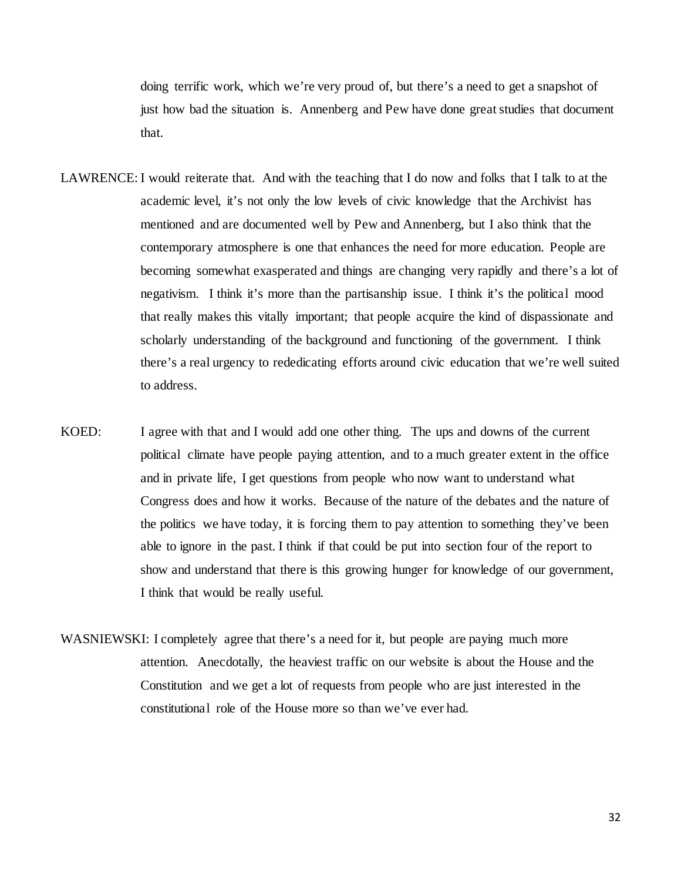doing terrific work, which we're very proud of, but there's a need to get a snapshot of just how bad the situation is. Annenberg and Pew have done great studies that document that.

- LAWRENCE: I would reiterate that. And with the teaching that I do now and folks that I talk to at the academic level, it's not only the low levels of civic knowledge that the Archivist has mentioned and are documented well by Pew and Annenberg, but I also think that the contemporary atmosphere is one that enhances the need for more education. People are becoming somewhat exasperated and things are changing very rapidly and there's a lot of negativism. I think it's more than the partisanship issue. I think it's the political mood that really makes this vitally important; that people acquire the kind of dispassionate and scholarly understanding of the background and functioning of the government. I think there's a real urgency to rededicating efforts around civic education that we're well suited to address.
- KOED: I agree with that and I would add one other thing. The ups and downs of the current political climate have people paying attention, and to a much greater extent in the office and in private life, I get questions from people who now want to understand what Congress does and how it works. Because of the nature of the debates and the nature of the politics we have today, it is forcing them to pay attention to something they've been able to ignore in the past. I think if that could be put into section four of the report to show and understand that there is this growing hunger for knowledge of our government, I think that would be really useful.
- WASNIEWSKI: I completely agree that there's a need for it, but people are paying much more attention. Anecdotally, the heaviest traffic on our website is about the House and the Constitution and we get a lot of requests from people who are just interested in the constitutional role of the House more so than we've ever had.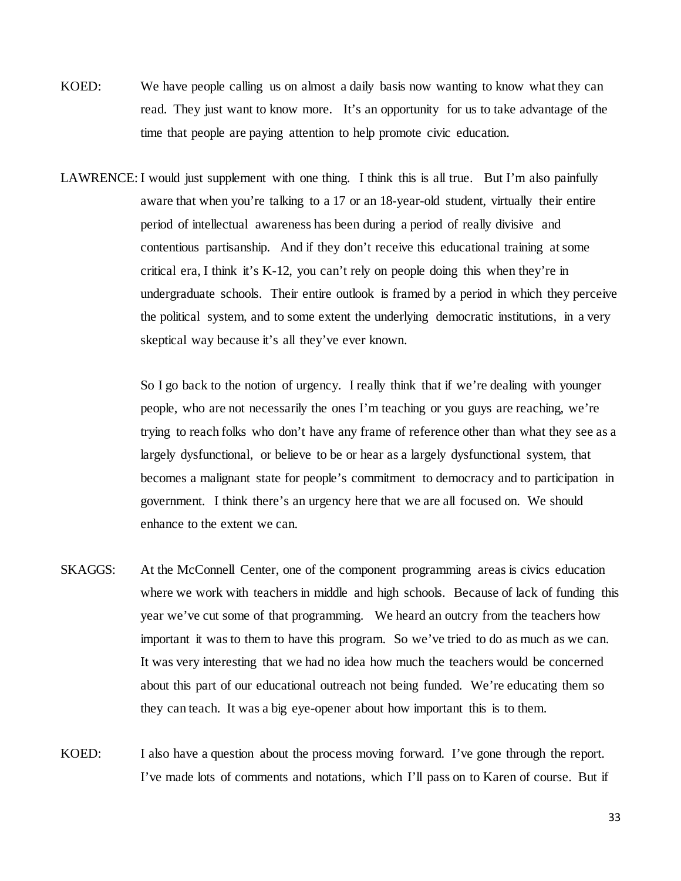- KOED: We have people calling us on almost a daily basis now wanting to know what they can read. They just want to know more. It's an opportunity for us to take advantage of the time that people are paying attention to help promote civic education.
- LAWRENCE: I would just supplement with one thing. I think this is all true. But I'm also painfully aware that when you're talking to a 17 or an 18-year-old student, virtually their entire period of intellectual awareness has been during a period of really divisive and contentious partisanship. And if they don't receive this educational training at some critical era, I think it's K-12, you can't rely on people doing this when they're in undergraduate schools. Their entire outlook is framed by a period in which they perceive the political system, and to some extent the underlying democratic institutions, in a very skeptical way because it's all they've ever known.

So I go back to the notion of urgency. I really think that if we're dealing with younger people, who are not necessarily the ones I'm teaching or you guys are reaching, we're trying to reach folks who don't have any frame of reference other than what they see as a largely dysfunctional, or believe to be or hear as a largely dysfunctional system, that becomes a malignant state for people's commitment to democracy and to participation in government. I think there's an urgency here that we are all focused on. We should enhance to the extent we can.

- SKAGGS: At the McConnell Center, one of the component programming areas is civics education where we work with teachers in middle and high schools. Because of lack of funding this year we've cut some of that programming. We heard an outcry from the teachers how important it was to them to have this program. So we've tried to do as much as we can. It was very interesting that we had no idea how much the teachers would be concerned about this part of our educational outreach not being funded. We're educating them so they can teach. It was a big eye-opener about how important this is to them.
- KOED: I also have a question about the process moving forward. I've gone through the report. I've made lots of comments and notations, which I'll pass on to Karen of course. But if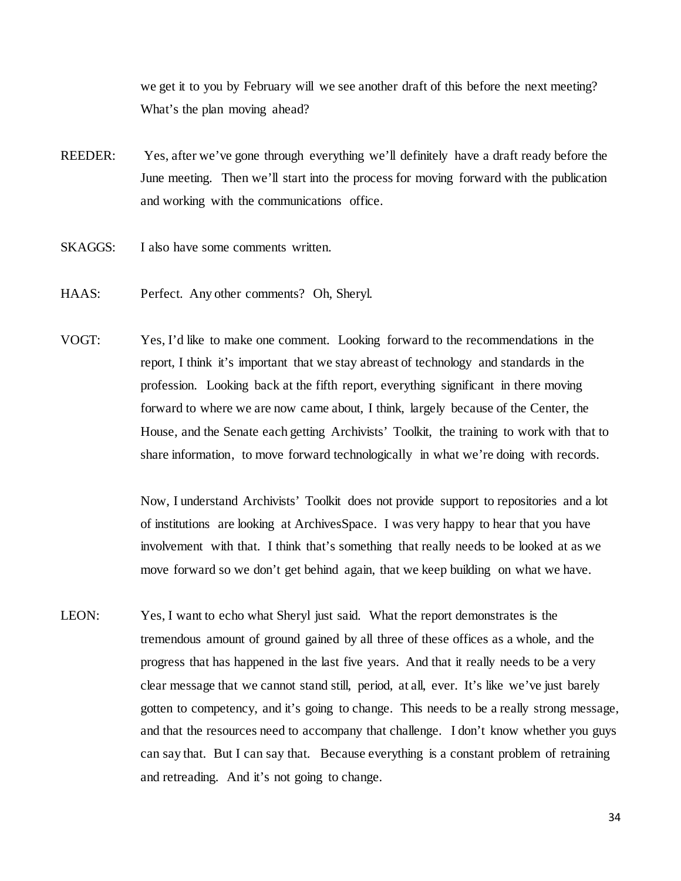we get it to you by February will we see another draft of this before the next meeting? What's the plan moving ahead?

- REEDER: Yes, after we've gone through everything we'll definitely have a draft ready before the June meeting. Then we'll start into the process for moving forward with the publication and working with the communications office.
- SKAGGS: I also have some comments written.
- HAAS: Perfect. Any other comments? Oh, Sheryl.
- VOGT: Yes, I'd like to make one comment. Looking forward to the recommendations in the report, I think it's important that we stay abreast of technology and standards in the profession. Looking back at the fifth report, everything significant in there moving forward to where we are now came about, I think, largely because of the Center, the House, and the Senate each getting Archivists' Toolkit, the training to work with that to share information, to move forward technologically in what we're doing with records.

Now, I understand Archivists' Toolkit does not provide support to repositories and a lot of institutions are looking at ArchivesSpace. I was very happy to hear that you have involvement with that. I think that's something that really needs to be looked at as we move forward so we don't get behind again, that we keep building on what we have.

LEON: Yes, I want to echo what Sheryl just said. What the report demonstrates is the tremendous amount of ground gained by all three of these offices as a whole, and the progress that has happened in the last five years. And that it really needs to be a very clear message that we cannot stand still, period, at all, ever. It's like we've just barely gotten to competency, and it's going to change. This needs to be a really strong message, and that the resources need to accompany that challenge. I don't know whether you guys can say that. But I can say that. Because everything is a constant problem of retraining and retreading. And it's not going to change.